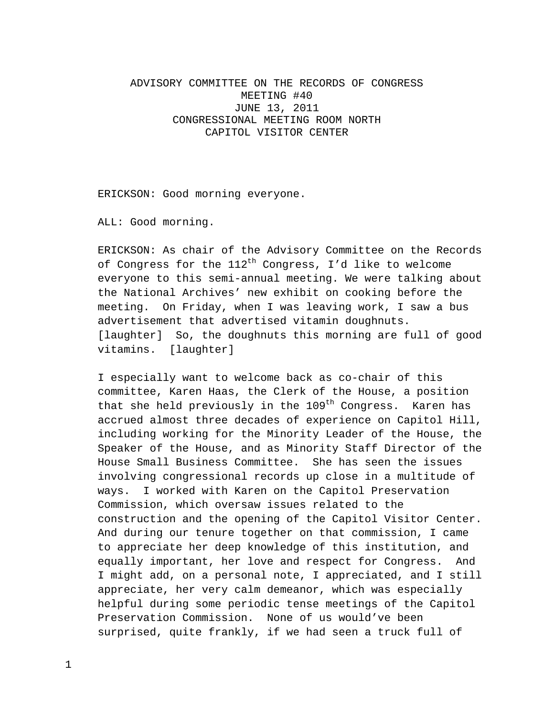## ADVISORY COMMITTEE ON THE RECORDS OF CONGRESS MEETING #40 JUNE 13, 2011 CONGRESSIONAL MEETING ROOM NORTH CAPITOL VISITOR CENTER

ERICKSON: Good morning everyone.

ALL: Good morning.

ERICKSON: As chair of the Advisory Committee on the Records of Congress for the  $112^{th}$  Congress, I'd like to welcome everyone to this semi-annual meeting. We were talking about the National Archives' new exhibit on cooking before the meeting. On Friday, when I was leaving work, I saw a bus advertisement that advertised vitamin doughnuts. [laughter] So, the doughnuts this morning are full of good vitamins. [laughter]

I especially want to welcome back as co-chair of this committee, Karen Haas, the Clerk of the House, a position that she held previously in the  $109<sup>th</sup>$  Congress. Karen has accrued almost three decades of experience on Capitol Hill, including working for the Minority Leader of the House, the Speaker of the House, and as Minority Staff Director of the House Small Business Committee. She has seen the issues involving congressional records up close in a multitude of ways. I worked with Karen on the Capitol Preservation Commission, which oversaw issues related to the construction and the opening of the Capitol Visitor Center. And during our tenure together on that commission, I came to appreciate her deep knowledge of this institution, and equally important, her love and respect for Congress. And I might add, on a personal note, I appreciated, and I still appreciate, her very calm demeanor, which was especially helpful during some periodic tense meetings of the Capitol Preservation Commission. None of us would've been surprised, quite frankly, if we had seen a truck full of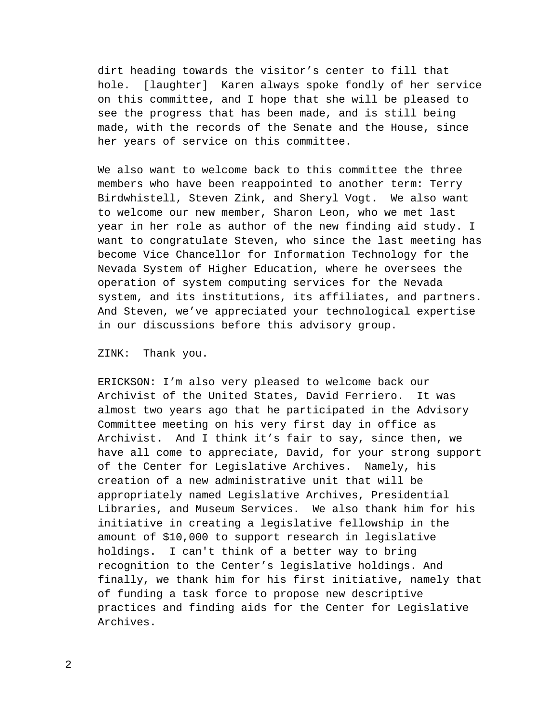dirt heading towards the visitor's center to fill that hole. [laughter] Karen always spoke fondly of her service on this committee, and I hope that she will be pleased to see the progress that has been made, and is still being made, with the records of the Senate and the House, since her years of service on this committee.

We also want to welcome back to this committee the three members who have been reappointed to another term: Terry Birdwhistell, Steven Zink, and Sheryl Vogt. We also want to welcome our new member, Sharon Leon, who we met last year in her role as author of the new finding aid study. I want to congratulate Steven, who since the last meeting has become Vice Chancellor for Information Technology for the Nevada System of Higher Education, where he oversees the operation of system computing services for the Nevada system, and its institutions, its affiliates, and partners. And Steven, we've appreciated your technological expertise in our discussions before this advisory group.

ZINK: Thank you.

ERICKSON: I'm also very pleased to welcome back our Archivist of the United States, David Ferriero. It was almost two years ago that he participated in the Advisory Committee meeting on his very first day in office as Archivist. And I think it's fair to say, since then, we have all come to appreciate, David, for your strong support of the Center for Legislative Archives. Namely, his creation of a new administrative unit that will be appropriately named Legislative Archives, Presidential Libraries, and Museum Services. We also thank him for his initiative in creating a legislative fellowship in the amount of \$10,000 to support research in legislative holdings. I can't think of a better way to bring recognition to the Center's legislative holdings. And finally, we thank him for his first initiative, namely that of funding a task force to propose new descriptive practices and finding aids for the Center for Legislative Archives.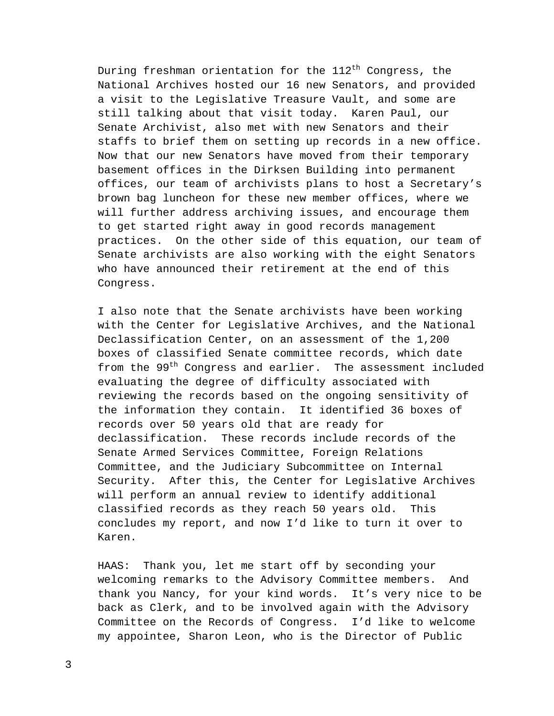During freshman orientation for the  $112<sup>th</sup>$  Congress, the National Archives hosted our 16 new Senators, and provided a visit to the Legislative Treasure Vault, and some are still talking about that visit today. Karen Paul, our Senate Archivist, also met with new Senators and their staffs to brief them on setting up records in a new office. Now that our new Senators have moved from their temporary basement offices in the Dirksen Building into permanent offices, our team of archivists plans to host a Secretary's brown bag luncheon for these new member offices, where we will further address archiving issues, and encourage them to get started right away in good records management practices. On the other side of this equation, our team of Senate archivists are also working with the eight Senators who have announced their retirement at the end of this Congress.

I also note that the Senate archivists have been working with the Center for Legislative Archives, and the National Declassification Center, on an assessment of the 1,200 boxes of classified Senate committee records, which date from the 99<sup>th</sup> Congress and earlier. The assessment included evaluating the degree of difficulty associated with reviewing the records based on the ongoing sensitivity of the information they contain. It identified 36 boxes of records over 50 years old that are ready for declassification. These records include records of the Senate Armed Services Committee, Foreign Relations Committee, and the Judiciary Subcommittee on Internal Security. After this, the Center for Legislative Archives will perform an annual review to identify additional classified records as they reach 50 years old. This concludes my report, and now I'd like to turn it over to Karen.

HAAS: Thank you, let me start off by seconding your welcoming remarks to the Advisory Committee members. And thank you Nancy, for your kind words. It's very nice to be back as Clerk, and to be involved again with the Advisory Committee on the Records of Congress. I'd like to welcome my appointee, Sharon Leon, who is the Director of Public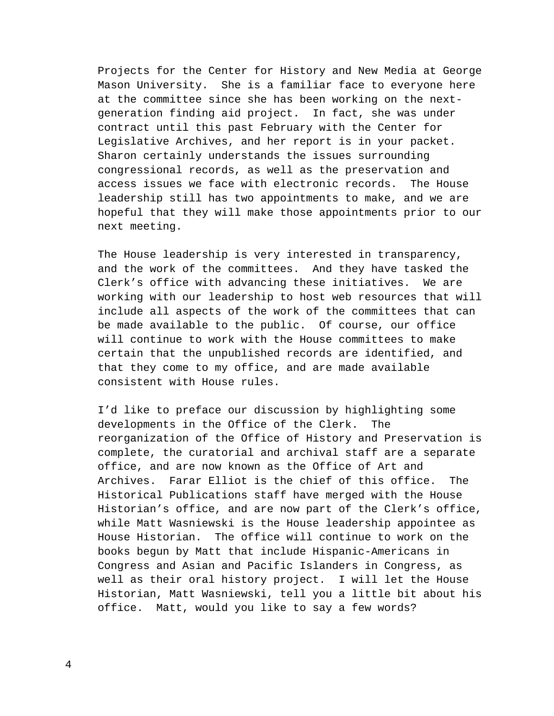Projects for the Center for History and New Media at George Mason University. She is a familiar face to everyone here at the committee since she has been working on the nextgeneration finding aid project. In fact, she was under contract until this past February with the Center for Legislative Archives, and her report is in your packet. Sharon certainly understands the issues surrounding congressional records, as well as the preservation and access issues we face with electronic records. The House leadership still has two appointments to make, and we are hopeful that they will make those appointments prior to our next meeting.

The House leadership is very interested in transparency, and the work of the committees. And they have tasked the Clerk's office with advancing these initiatives. We are working with our leadership to host web resources that will include all aspects of the work of the committees that can be made available to the public. Of course, our office will continue to work with the House committees to make certain that the unpublished records are identified, and that they come to my office, and are made available consistent with House rules.

I'd like to preface our discussion by highlighting some developments in the Office of the Clerk. The reorganization of the Office of History and Preservation is complete, the curatorial and archival staff are a separate office, and are now known as the Office of Art and Archives. Farar Elliot is the chief of this office. The Historical Publications staff have merged with the House Historian's office, and are now part of the Clerk's office, while Matt Wasniewski is the House leadership appointee as House Historian. The office will continue to work on the books begun by Matt that include Hispanic-Americans in Congress and Asian and Pacific Islanders in Congress, as well as their oral history project. I will let the House Historian, Matt Wasniewski, tell you a little bit about his office. Matt, would you like to say a few words?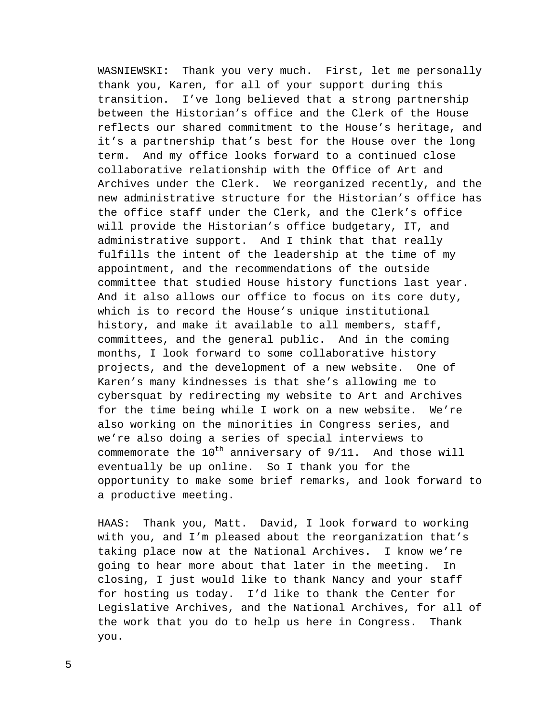WASNIEWSKI: Thank you very much. First, let me personally thank you, Karen, for all of your support during this transition. I've long believed that a strong partnership between the Historian's office and the Clerk of the House reflects our shared commitment to the House's heritage, and it's a partnership that's best for the House over the long term. And my office looks forward to a continued close collaborative relationship with the Office of Art and Archives under the Clerk. We reorganized recently, and the new administrative structure for the Historian's office has the office staff under the Clerk, and the Clerk's office will provide the Historian's office budgetary, IT, and administrative support. And I think that that really fulfills the intent of the leadership at the time of my appointment, and the recommendations of the outside committee that studied House history functions last year. And it also allows our office to focus on its core duty, which is to record the House's unique institutional history, and make it available to all members, staff, committees, and the general public. And in the coming months, I look forward to some collaborative history projects, and the development of a new website. One of Karen's many kindnesses is that she's allowing me to cybersquat by redirecting my website to Art and Archives for the time being while I work on a new website. We're also working on the minorities in Congress series, and we're also doing a series of special interviews to commemorate the  $10^{th}$  anniversary of  $9/11$ . And those will eventually be up online. So I thank you for the opportunity to make some brief remarks, and look forward to a productive meeting.

HAAS: Thank you, Matt. David, I look forward to working with you, and I'm pleased about the reorganization that's taking place now at the National Archives. I know we're going to hear more about that later in the meeting. In closing, I just would like to thank Nancy and your staff for hosting us today. I'd like to thank the Center for Legislative Archives, and the National Archives, for all of the work that you do to help us here in Congress. Thank you.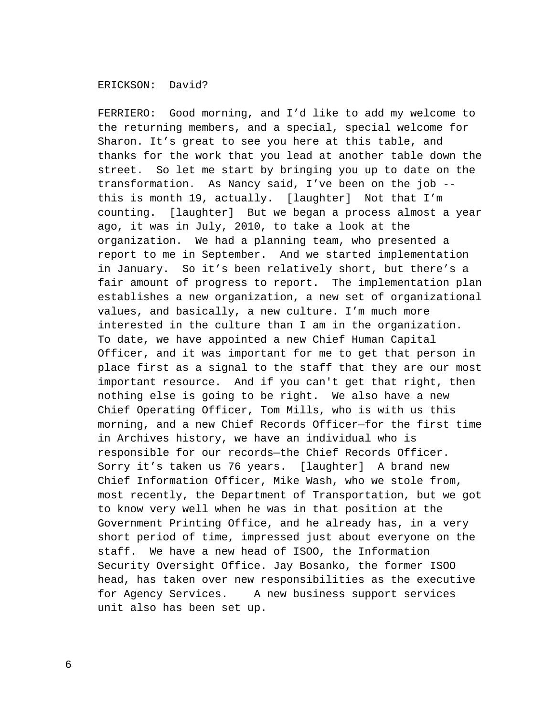## ERICKSON: David?

FERRIERO: Good morning, and I'd like to add my welcome to the returning members, and a special, special welcome for Sharon. It's great to see you here at this table, and thanks for the work that you lead at another table down the street. So let me start by bringing you up to date on the transformation. As Nancy said, I've been on the job - this is month 19, actually. [laughter] Not that I'm counting. [laughter] But we began a process almost a year ago, it was in July, 2010, to take a look at the organization. We had a planning team, who presented a report to me in September. And we started implementation in January. So it's been relatively short, but there's a fair amount of progress to report. The implementation plan establishes a new organization, a new set of organizational values, and basically, a new culture. I'm much more interested in the culture than I am in the organization. To date, we have appointed a new Chief Human Capital Officer, and it was important for me to get that person in place first as a signal to the staff that they are our most important resource. And if you can't get that right, then nothing else is going to be right. We also have a new Chief Operating Officer, Tom Mills, who is with us this morning, and a new Chief Records Officer—for the first time in Archives history, we have an individual who is responsible for our records—the Chief Records Officer. Sorry it's taken us 76 years. [laughter] A brand new Chief Information Officer, Mike Wash, who we stole from, most recently, the Department of Transportation, but we got to know very well when he was in that position at the Government Printing Office, and he already has, in a very short period of time, impressed just about everyone on the staff. We have a new head of ISOO, the Information Security Oversight Office. Jay Bosanko, the former ISOO head, has taken over new responsibilities as the executive for Agency Services. A new business support services unit also has been set up.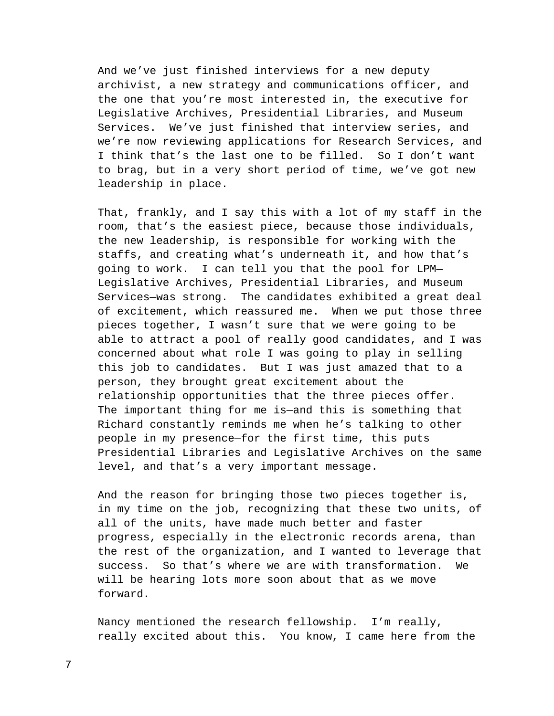And we've just finished interviews for a new deputy archivist, a new strategy and communications officer, and the one that you're most interested in, the executive for Legislative Archives, Presidential Libraries, and Museum Services. We've just finished that interview series, and we're now reviewing applications for Research Services, and I think that's the last one to be filled. So I don't want to brag, but in a very short period of time, we've got new leadership in place.

That, frankly, and I say this with a lot of my staff in the room, that's the easiest piece, because those individuals, the new leadership, is responsible for working with the staffs, and creating what's underneath it, and how that's going to work. I can tell you that the pool for LPM— Legislative Archives, Presidential Libraries, and Museum Services—was strong. The candidates exhibited a great deal of excitement, which reassured me. When we put those three pieces together, I wasn't sure that we were going to be able to attract a pool of really good candidates, and I was concerned about what role I was going to play in selling this job to candidates. But I was just amazed that to a person, they brought great excitement about the relationship opportunities that the three pieces offer. The important thing for me is—and this is something that Richard constantly reminds me when he's talking to other people in my presence—for the first time, this puts Presidential Libraries and Legislative Archives on the same level, and that's a very important message.

And the reason for bringing those two pieces together is, in my time on the job, recognizing that these two units, of all of the units, have made much better and faster progress, especially in the electronic records arena, than the rest of the organization, and I wanted to leverage that success. So that's where we are with transformation. We will be hearing lots more soon about that as we move forward.

Nancy mentioned the research fellowship. I'm really, really excited about this. You know, I came here from the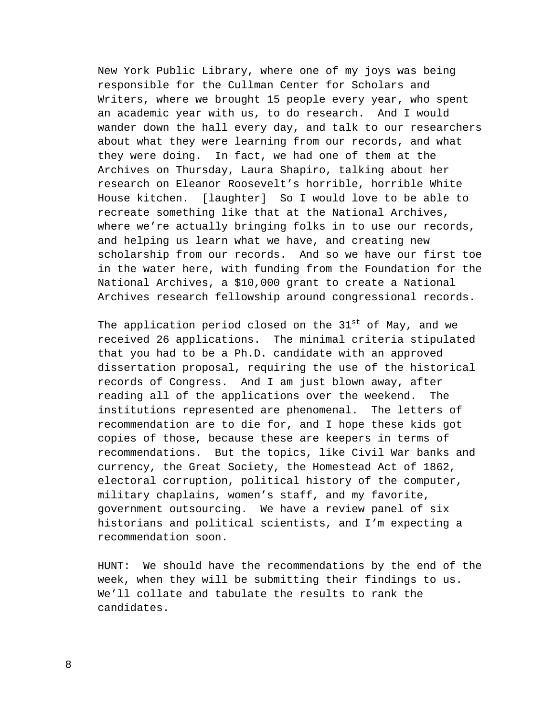New York Public Library, where one of my joys was being responsible for the Cullman Center for Scholars and Writers, where we brought 15 people every year, who spent an academic year with us, to do research. And I would wander down the hall every day, and talk to our researchers about what they were learning from our records, and what they were doing. In fact, we had one of them at the Archives on Thursday, Laura Shapiro, talking about her research on Eleanor Roosevelt's horrible, horrible White House kitchen. [laughter] So I would love to be able to recreate something like that at the National Archives, where we're actually bringing folks in to use our records, and helping us learn what we have, and creating new scholarship from our records. And so we have our first toe in the water here, with funding from the Foundation for the National Archives, a \$10,000 grant to create a National Archives research fellowship around congressional records.

The application period closed on the 31<sup>st</sup> of May, and we received 26 applications. The minimal criteria stipulated that you had to be a Ph.D. candidate with an approved dissertation proposal, requiring the use of the historical records of Congress. And I am just blown away, after reading all of the applications over the weekend. The institutions represented are phenomenal. The letters of recommendation are to die for, and I hope these kids got copies of those, because these are keepers in terms of recommendations. But the topics, like Civil War banks and currency, the Great Society, the Homestead Act of 1862, electoral corruption, political history of the computer, military chaplains, women's staff, and my favorite, government outsourcing. We have a review panel of six historians and political scientists, and I'm expecting a recommendation soon.

HUNT: We should have the recommendations by the end of the week, when they will be submitting their findings to us. We'll collate and tabulate the results to rank the candidates.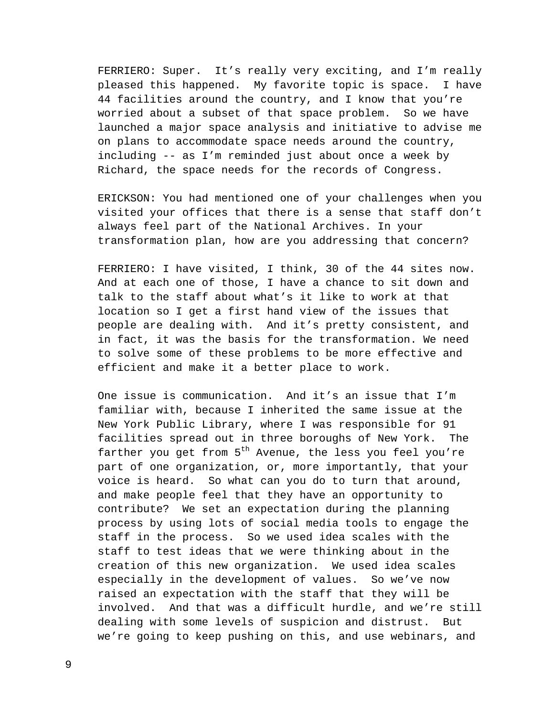FERRIERO: Super. It's really very exciting, and I'm really pleased this happened. My favorite topic is space. I have 44 facilities around the country, and I know that you're worried about a subset of that space problem. So we have launched a major space analysis and initiative to advise me on plans to accommodate space needs around the country, including -- as I'm reminded just about once a week by Richard, the space needs for the records of Congress.

ERICKSON: You had mentioned one of your challenges when you visited your offices that there is a sense that staff don't always feel part of the National Archives. In your transformation plan, how are you addressing that concern?

FERRIERO: I have visited, I think, 30 of the 44 sites now. And at each one of those, I have a chance to sit down and talk to the staff about what's it like to work at that location so I get a first hand view of the issues that people are dealing with. And it's pretty consistent, and in fact, it was the basis for the transformation. We need to solve some of these problems to be more effective and efficient and make it a better place to work.

One issue is communication. And it's an issue that I'm familiar with, because I inherited the same issue at the New York Public Library, where I was responsible for 91 facilities spread out in three boroughs of New York. The farther you get from  $5<sup>th</sup>$  Avenue, the less you feel you're part of one organization, or, more importantly, that your voice is heard. So what can you do to turn that around, and make people feel that they have an opportunity to contribute? We set an expectation during the planning process by using lots of social media tools to engage the staff in the process. So we used idea scales with the staff to test ideas that we were thinking about in the creation of this new organization. We used idea scales especially in the development of values. So we've now raised an expectation with the staff that they will be involved. And that was a difficult hurdle, and we're still dealing with some levels of suspicion and distrust. But we're going to keep pushing on this, and use webinars, and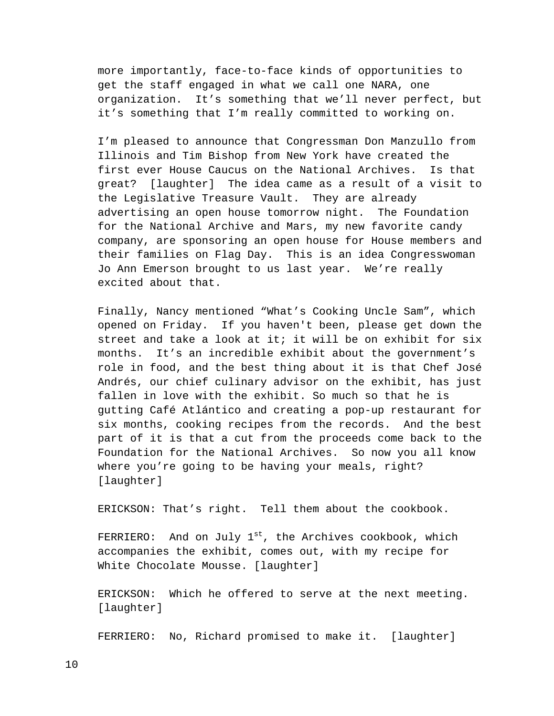more importantly, face-to-face kinds of opportunities to get the staff engaged in what we call one NARA, one organization. It's something that we'll never perfect, but it's something that I'm really committed to working on.

I'm pleased to announce that Congressman Don Manzullo from Illinois and Tim Bishop from New York have created the first ever House Caucus on the National Archives. Is that great? [laughter] The idea came as a result of a visit to the Legislative Treasure Vault. They are already advertising an open house tomorrow night. The Foundation for the National Archive and Mars, my new favorite candy company, are sponsoring an open house for House members and their families on Flag Day. This is an idea Congresswoman Jo Ann Emerson brought to us last year. We're really excited about that.

Finally, Nancy mentioned "What's Cooking Uncle Sam", which opened on Friday. If you haven't been, please get down the street and take a look at it; it will be on exhibit for six months. It's an incredible exhibit about the government's role in food, and the best thing about it is that Chef José Andrés, our chief culinary advisor on the exhibit, has just fallen in love with the exhibit. So much so that he is gutting Café Atlántico and creating a pop-up restaurant for six months, cooking recipes from the records. And the best part of it is that a cut from the proceeds come back to the Foundation for the National Archives. So now you all know where you're going to be having your meals, right? [laughter]

ERICKSON: That's right. Tell them about the cookbook.

FERRIERO: And on July  $1^{st}$ , the Archives cookbook, which accompanies the exhibit, comes out, with my recipe for White Chocolate Mousse. [laughter]

ERICKSON: Which he offered to serve at the next meeting. [laughter]

FERRIERO: No, Richard promised to make it. [laughter]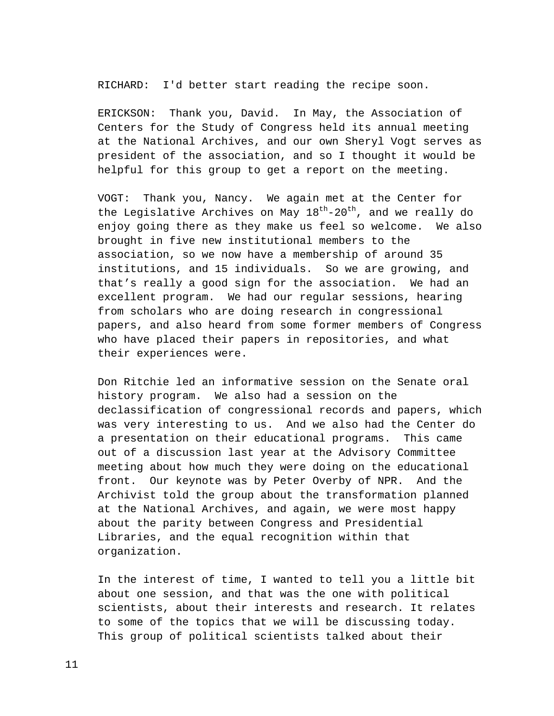RICHARD: I'd better start reading the recipe soon.

ERICKSON: Thank you, David. In May, the Association of Centers for the Study of Congress held its annual meeting at the National Archives, and our own Sheryl Vogt serves as president of the association, and so I thought it would be helpful for this group to get a report on the meeting.

VOGT: Thank you, Nancy. We again met at the Center for the Legislative Archives on May  $18^{th}$ -20<sup>th</sup>, and we really do enjoy going there as they make us feel so welcome. We also brought in five new institutional members to the association, so we now have a membership of around 35 institutions, and 15 individuals. So we are growing, and that's really a good sign for the association. We had an excellent program. We had our regular sessions, hearing from scholars who are doing research in congressional papers, and also heard from some former members of Congress who have placed their papers in repositories, and what their experiences were.

Don Ritchie led an informative session on the Senate oral history program. We also had a session on the declassification of congressional records and papers, which was very interesting to us. And we also had the Center do a presentation on their educational programs. This came out of a discussion last year at the Advisory Committee meeting about how much they were doing on the educational front. Our keynote was by Peter Overby of NPR. And the Archivist told the group about the transformation planned at the National Archives, and again, we were most happy about the parity between Congress and Presidential Libraries, and the equal recognition within that organization.

In the interest of time, I wanted to tell you a little bit about one session, and that was the one with political scientists, about their interests and research. It relates to some of the topics that we will be discussing today. This group of political scientists talked about their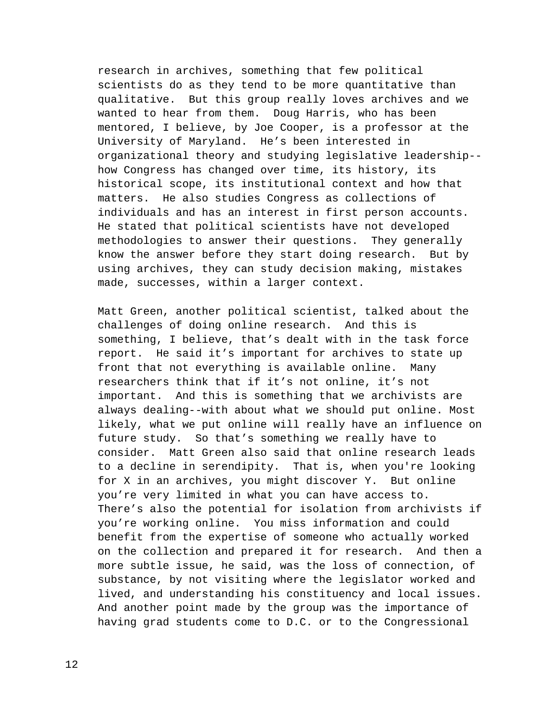research in archives, something that few political scientists do as they tend to be more quantitative than qualitative. But this group really loves archives and we wanted to hear from them. Doug Harris, who has been mentored, I believe, by Joe Cooper, is a professor at the University of Maryland. He's been interested in organizational theory and studying legislative leadership- how Congress has changed over time, its history, its historical scope, its institutional context and how that matters. He also studies Congress as collections of individuals and has an interest in first person accounts. He stated that political scientists have not developed methodologies to answer their questions. They generally know the answer before they start doing research. But by using archives, they can study decision making, mistakes made, successes, within a larger context.

Matt Green, another political scientist, talked about the challenges of doing online research. And this is something, I believe, that's dealt with in the task force report. He said it's important for archives to state up front that not everything is available online. Many researchers think that if it's not online, it's not important. And this is something that we archivists are always dealing--with about what we should put online. Most likely, what we put online will really have an influence on future study. So that's something we really have to consider. Matt Green also said that online research leads to a decline in serendipity. That is, when you're looking for X in an archives, you might discover Y. But online you're very limited in what you can have access to. There's also the potential for isolation from archivists if you're working online. You miss information and could benefit from the expertise of someone who actually worked on the collection and prepared it for research. And then a more subtle issue, he said, was the loss of connection, of substance, by not visiting where the legislator worked and lived, and understanding his constituency and local issues. And another point made by the group was the importance of having grad students come to D.C. or to the Congressional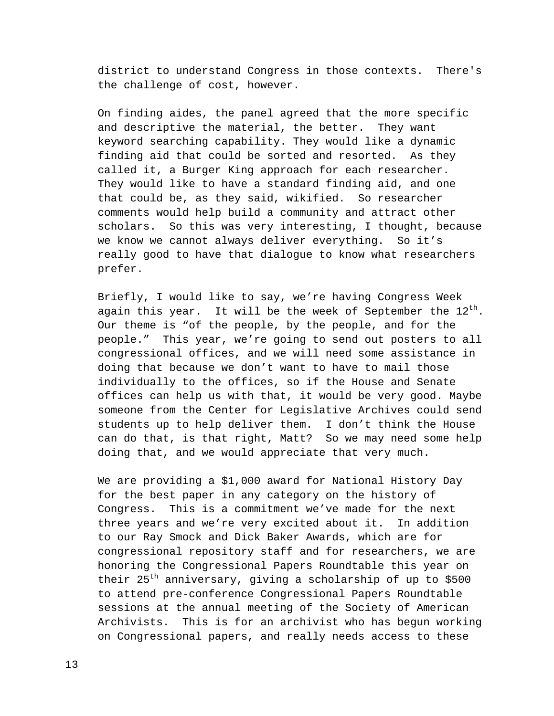district to understand Congress in those contexts. There's the challenge of cost, however.

On finding aides, the panel agreed that the more specific and descriptive the material, the better. They want keyword searching capability. They would like a dynamic finding aid that could be sorted and resorted. As they called it, a Burger King approach for each researcher. They would like to have a standard finding aid, and one that could be, as they said, wikified. So researcher comments would help build a community and attract other scholars. So this was very interesting, I thought, because we know we cannot always deliver everything. So it's really good to have that dialogue to know what researchers prefer.

Briefly, I would like to say, we're having Congress Week again this year. It will be the week of September the  $12^{th}$ . Our theme is "of the people, by the people, and for the people." This year, we're going to send out posters to all congressional offices, and we will need some assistance in doing that because we don't want to have to mail those individually to the offices, so if the House and Senate offices can help us with that, it would be very good. Maybe someone from the Center for Legislative Archives could send students up to help deliver them. I don't think the House can do that, is that right, Matt? So we may need some help doing that, and we would appreciate that very much.

We are providing a \$1,000 award for National History Day for the best paper in any category on the history of Congress. This is a commitment we've made for the next three years and we're very excited about it. In addition to our Ray Smock and Dick Baker Awards, which are for congressional repository staff and for researchers, we are honoring the Congressional Papers Roundtable this year on their 25<sup>th</sup> anniversary, giving a scholarship of up to \$500 to attend pre-conference Congressional Papers Roundtable sessions at the annual meeting of the Society of American Archivists. This is for an archivist who has begun working on Congressional papers, and really needs access to these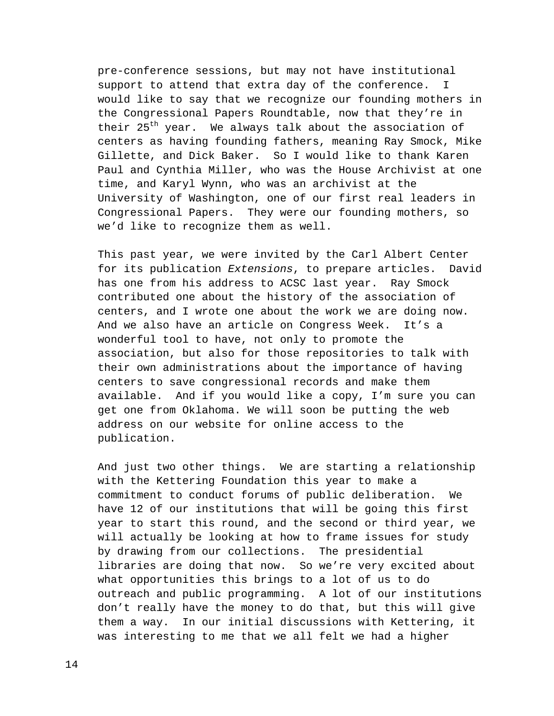pre-conference sessions, but may not have institutional support to attend that extra day of the conference. I would like to say that we recognize our founding mothers in the Congressional Papers Roundtable, now that they're in their 25<sup>th</sup> year. We always talk about the association of centers as having founding fathers, meaning Ray Smock, Mike Gillette, and Dick Baker. So I would like to thank Karen Paul and Cynthia Miller, who was the House Archivist at one time, and Karyl Wynn, who was an archivist at the University of Washington, one of our first real leaders in Congressional Papers. They were our founding mothers, so we'd like to recognize them as well.

This past year, we were invited by the Carl Albert Center for its publication *Extensions*, to prepare articles. David has one from his address to ACSC last year. Ray Smock contributed one about the history of the association of centers, and I wrote one about the work we are doing now. And we also have an article on Congress Week. It's a wonderful tool to have, not only to promote the association, but also for those repositories to talk with their own administrations about the importance of having centers to save congressional records and make them available. And if you would like a copy, I'm sure you can get one from Oklahoma. We will soon be putting the web address on our website for online access to the publication.

And just two other things. We are starting a relationship with the Kettering Foundation this year to make a commitment to conduct forums of public deliberation. We have 12 of our institutions that will be going this first year to start this round, and the second or third year, we will actually be looking at how to frame issues for study by drawing from our collections. The presidential libraries are doing that now. So we're very excited about what opportunities this brings to a lot of us to do outreach and public programming. A lot of our institutions don't really have the money to do that, but this will give them a way. In our initial discussions with Kettering, it was interesting to me that we all felt we had a higher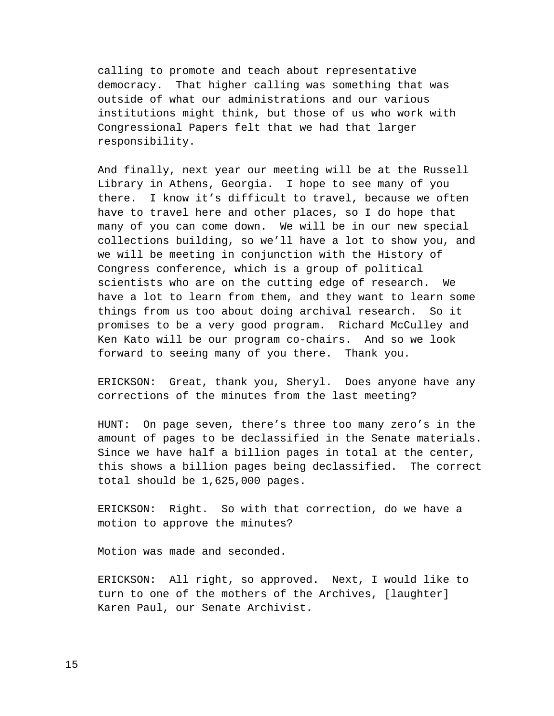calling to promote and teach about representative democracy. That higher calling was something that was outside of what our administrations and our various institutions might think, but those of us who work with Congressional Papers felt that we had that larger responsibility.

And finally, next year our meeting will be at the Russell Library in Athens, Georgia. I hope to see many of you there. I know it's difficult to travel, because we often have to travel here and other places, so I do hope that many of you can come down. We will be in our new special collections building, so we'll have a lot to show you, and we will be meeting in conjunction with the History of Congress conference, which is a group of political scientists who are on the cutting edge of research. We have a lot to learn from them, and they want to learn some things from us too about doing archival research. So it promises to be a very good program. Richard McCulley and Ken Kato will be our program co-chairs. And so we look forward to seeing many of you there. Thank you.

ERICKSON: Great, thank you, Sheryl. Does anyone have any corrections of the minutes from the last meeting?

HUNT: On page seven, there's three too many zero's in the amount of pages to be declassified in the Senate materials. Since we have half a billion pages in total at the center, this shows a billion pages being declassified. The correct total should be 1,625,000 pages.

ERICKSON: Right. So with that correction, do we have a motion to approve the minutes?

Motion was made and seconded.

ERICKSON: All right, so approved. Next, I would like to turn to one of the mothers of the Archives, [laughter] Karen Paul, our Senate Archivist.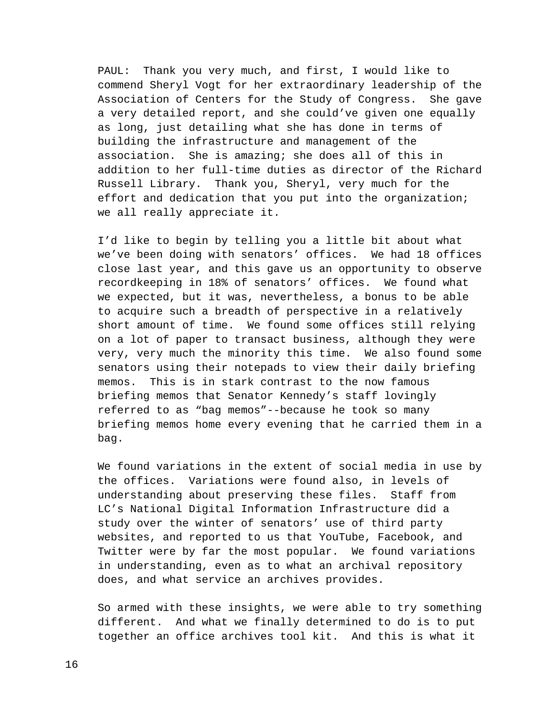PAUL: Thank you very much, and first, I would like to commend Sheryl Vogt for her extraordinary leadership of the Association of Centers for the Study of Congress. She gave a very detailed report, and she could've given one equally as long, just detailing what she has done in terms of building the infrastructure and management of the association. She is amazing; she does all of this in addition to her full-time duties as director of the Richard Russell Library. Thank you, Sheryl, very much for the effort and dedication that you put into the organization; we all really appreciate it.

I'd like to begin by telling you a little bit about what we've been doing with senators' offices. We had 18 offices close last year, and this gave us an opportunity to observe recordkeeping in 18% of senators' offices. We found what we expected, but it was, nevertheless, a bonus to be able to acquire such a breadth of perspective in a relatively short amount of time. We found some offices still relying on a lot of paper to transact business, although they were very, very much the minority this time. We also found some senators using their notepads to view their daily briefing memos. This is in stark contrast to the now famous briefing memos that Senator Kennedy's staff lovingly referred to as "bag memos"--because he took so many briefing memos home every evening that he carried them in a bag.

We found variations in the extent of social media in use by the offices. Variations were found also, in levels of understanding about preserving these files. Staff from LC's National Digital Information Infrastructure did a study over the winter of senators' use of third party websites, and reported to us that YouTube, Facebook, and Twitter were by far the most popular. We found variations in understanding, even as to what an archival repository does, and what service an archives provides.

So armed with these insights, we were able to try something different. And what we finally determined to do is to put together an office archives tool kit. And this is what it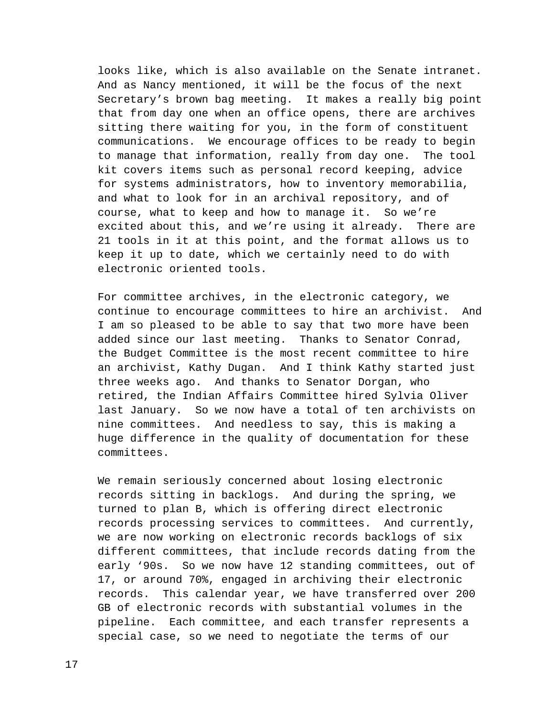looks like, which is also available on the Senate intranet. And as Nancy mentioned, it will be the focus of the next Secretary's brown bag meeting. It makes a really big point that from day one when an office opens, there are archives sitting there waiting for you, in the form of constituent communications. We encourage offices to be ready to begin to manage that information, really from day one. The tool kit covers items such as personal record keeping, advice for systems administrators, how to inventory memorabilia, and what to look for in an archival repository, and of course, what to keep and how to manage it. So we're excited about this, and we're using it already. There are 21 tools in it at this point, and the format allows us to keep it up to date, which we certainly need to do with electronic oriented tools.

For committee archives, in the electronic category, we continue to encourage committees to hire an archivist. And I am so pleased to be able to say that two more have been added since our last meeting. Thanks to Senator Conrad, the Budget Committee is the most recent committee to hire an archivist, Kathy Dugan. And I think Kathy started just three weeks ago. And thanks to Senator Dorgan, who retired, the Indian Affairs Committee hired Sylvia Oliver last January. So we now have a total of ten archivists on nine committees. And needless to say, this is making a huge difference in the quality of documentation for these committees.

We remain seriously concerned about losing electronic records sitting in backlogs. And during the spring, we turned to plan B, which is offering direct electronic records processing services to committees. And currently, we are now working on electronic records backlogs of six different committees, that include records dating from the early '90s. So we now have 12 standing committees, out of 17, or around 70%, engaged in archiving their electronic records. This calendar year, we have transferred over 200 GB of electronic records with substantial volumes in the pipeline. Each committee, and each transfer represents a special case, so we need to negotiate the terms of our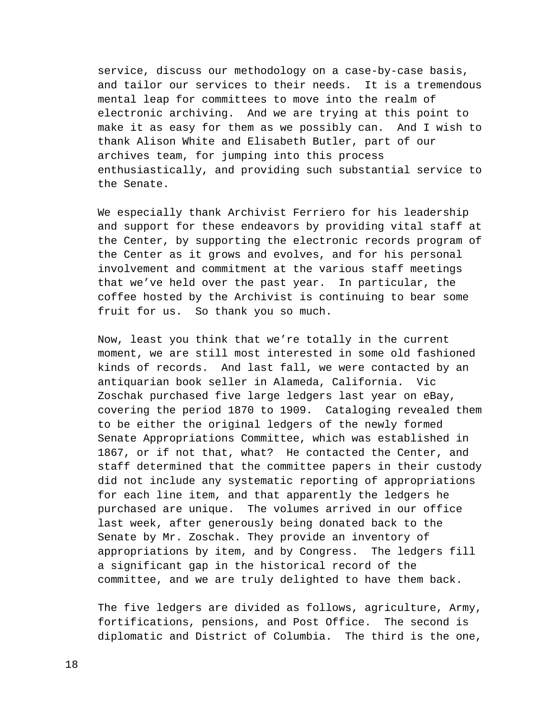service, discuss our methodology on a case-by-case basis, and tailor our services to their needs. It is a tremendous mental leap for committees to move into the realm of electronic archiving. And we are trying at this point to make it as easy for them as we possibly can. And I wish to thank Alison White and Elisabeth Butler, part of our archives team, for jumping into this process enthusiastically, and providing such substantial service to the Senate.

We especially thank Archivist Ferriero for his leadership and support for these endeavors by providing vital staff at the Center, by supporting the electronic records program of the Center as it grows and evolves, and for his personal involvement and commitment at the various staff meetings that we've held over the past year. In particular, the coffee hosted by the Archivist is continuing to bear some fruit for us. So thank you so much.

Now, least you think that we're totally in the current moment, we are still most interested in some old fashioned kinds of records. And last fall, we were contacted by an antiquarian book seller in Alameda, California. Vic Zoschak purchased five large ledgers last year on eBay, covering the period 1870 to 1909. Cataloging revealed them to be either the original ledgers of the newly formed Senate Appropriations Committee, which was established in 1867, or if not that, what? He contacted the Center, and staff determined that the committee papers in their custody did not include any systematic reporting of appropriations for each line item, and that apparently the ledgers he purchased are unique. The volumes arrived in our office last week, after generously being donated back to the Senate by Mr. Zoschak. They provide an inventory of appropriations by item, and by Congress. The ledgers fill a significant gap in the historical record of the committee, and we are truly delighted to have them back.

The five ledgers are divided as follows, agriculture, Army, fortifications, pensions, and Post Office. The second is diplomatic and District of Columbia. The third is the one,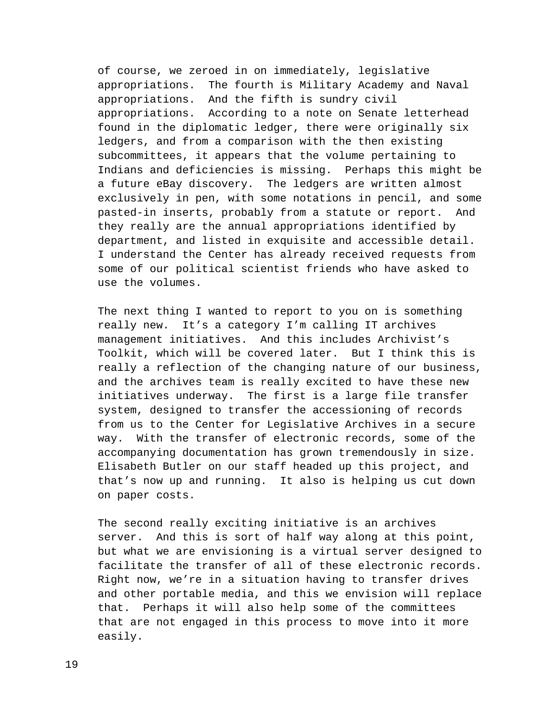of course, we zeroed in on immediately, legislative appropriations. The fourth is Military Academy and Naval appropriations. And the fifth is sundry civil appropriations. According to a note on Senate letterhead found in the diplomatic ledger, there were originally six ledgers, and from a comparison with the then existing subcommittees, it appears that the volume pertaining to Indians and deficiencies is missing. Perhaps this might be a future eBay discovery. The ledgers are written almost exclusively in pen, with some notations in pencil, and some pasted-in inserts, probably from a statute or report. And they really are the annual appropriations identified by department, and listed in exquisite and accessible detail. I understand the Center has already received requests from some of our political scientist friends who have asked to use the volumes.

The next thing I wanted to report to you on is something really new. It's a category I'm calling IT archives management initiatives. And this includes Archivist's Toolkit, which will be covered later. But I think this is really a reflection of the changing nature of our business, and the archives team is really excited to have these new initiatives underway. The first is a large file transfer system, designed to transfer the accessioning of records from us to the Center for Legislative Archives in a secure way. With the transfer of electronic records, some of the accompanying documentation has grown tremendously in size. Elisabeth Butler on our staff headed up this project, and that's now up and running. It also is helping us cut down on paper costs.

The second really exciting initiative is an archives server. And this is sort of half way along at this point, but what we are envisioning is a virtual server designed to facilitate the transfer of all of these electronic records. Right now, we're in a situation having to transfer drives and other portable media, and this we envision will replace that. Perhaps it will also help some of the committees that are not engaged in this process to move into it more easily.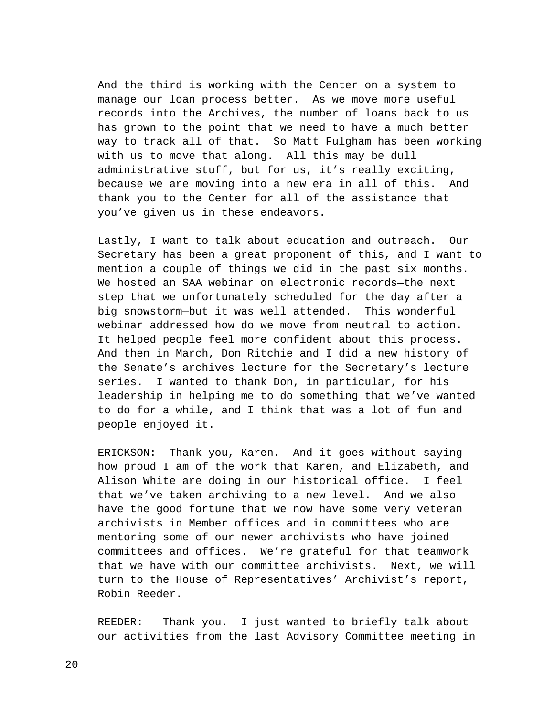And the third is working with the Center on a system to manage our loan process better. As we move more useful records into the Archives, the number of loans back to us has grown to the point that we need to have a much better way to track all of that. So Matt Fulgham has been working with us to move that along. All this may be dull administrative stuff, but for us, it's really exciting, because we are moving into a new era in all of this. And thank you to the Center for all of the assistance that you've given us in these endeavors.

Lastly, I want to talk about education and outreach. Our Secretary has been a great proponent of this, and I want to mention a couple of things we did in the past six months. We hosted an SAA webinar on electronic records—the next step that we unfortunately scheduled for the day after a big snowstorm—but it was well attended. This wonderful webinar addressed how do we move from neutral to action. It helped people feel more confident about this process. And then in March, Don Ritchie and I did a new history of the Senate's archives lecture for the Secretary's lecture series. I wanted to thank Don, in particular, for his leadership in helping me to do something that we've wanted to do for a while, and I think that was a lot of fun and people enjoyed it.

ERICKSON: Thank you, Karen. And it goes without saying how proud I am of the work that Karen, and Elizabeth, and Alison White are doing in our historical office. I feel that we've taken archiving to a new level. And we also have the good fortune that we now have some very veteran archivists in Member offices and in committees who are mentoring some of our newer archivists who have joined committees and offices. We're grateful for that teamwork that we have with our committee archivists. Next, we will turn to the House of Representatives' Archivist's report, Robin Reeder.

REEDER: Thank you. I just wanted to briefly talk about our activities from the last Advisory Committee meeting in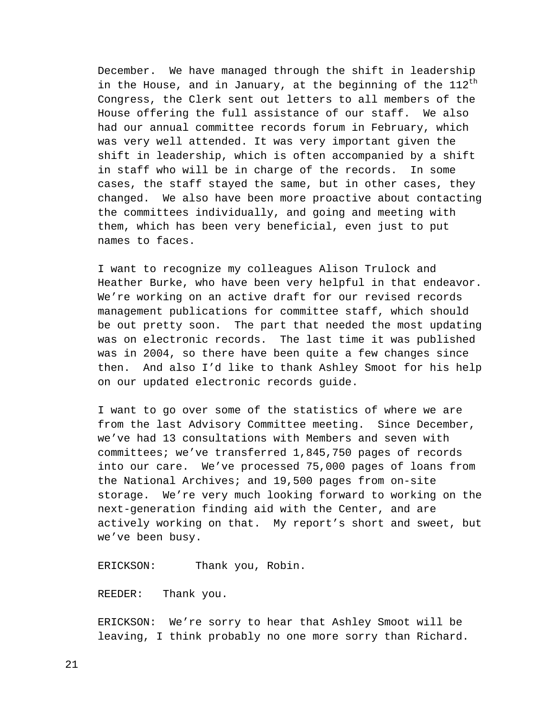December. We have managed through the shift in leadership in the House, and in January, at the beginning of the  $112^{th}$ Congress, the Clerk sent out letters to all members of the House offering the full assistance of our staff. We also had our annual committee records forum in February, which was very well attended. It was very important given the shift in leadership, which is often accompanied by a shift in staff who will be in charge of the records. In some cases, the staff stayed the same, but in other cases, they changed. We also have been more proactive about contacting the committees individually, and going and meeting with them, which has been very beneficial, even just to put names to faces.

I want to recognize my colleagues Alison Trulock and Heather Burke, who have been very helpful in that endeavor. We're working on an active draft for our revised records management publications for committee staff, which should be out pretty soon. The part that needed the most updating was on electronic records. The last time it was published was in 2004, so there have been quite a few changes since then. And also I'd like to thank Ashley Smoot for his help on our updated electronic records guide.

I want to go over some of the statistics of where we are from the last Advisory Committee meeting. Since December, we've had 13 consultations with Members and seven with committees; we've transferred 1,845,750 pages of records into our care. We've processed 75,000 pages of loans from the National Archives; and 19,500 pages from on-site storage. We're very much looking forward to working on the next-generation finding aid with the Center, and are actively working on that. My report's short and sweet, but we've been busy.

ERICKSON: Thank you, Robin.

REEDER: Thank you.

ERICKSON: We're sorry to hear that Ashley Smoot will be leaving, I think probably no one more sorry than Richard.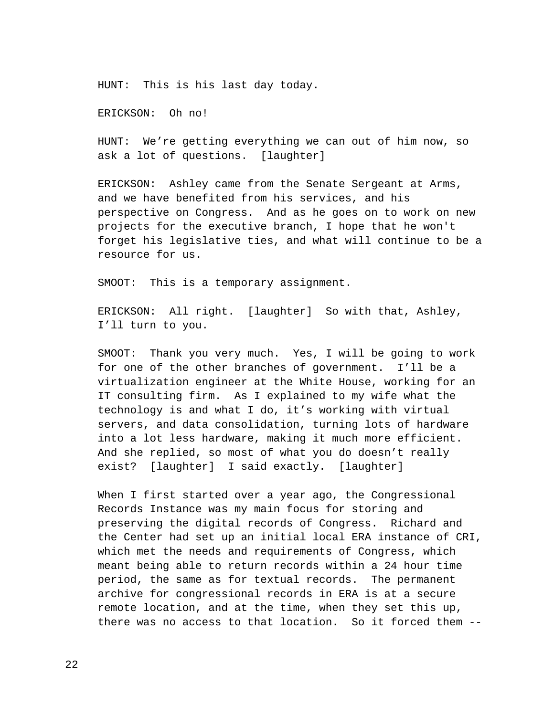HUNT: This is his last day today.

ERICKSON: Oh no!

HUNT: We're getting everything we can out of him now, so ask a lot of questions. [laughter]

ERICKSON: Ashley came from the Senate Sergeant at Arms, and we have benefited from his services, and his perspective on Congress. And as he goes on to work on new projects for the executive branch, I hope that he won't forget his legislative ties, and what will continue to be a resource for us.

SMOOT: This is a temporary assignment.

ERICKSON: All right. [laughter] So with that, Ashley, I'll turn to you.

SMOOT: Thank you very much. Yes, I will be going to work for one of the other branches of government. I'll be a virtualization engineer at the White House, working for an IT consulting firm. As I explained to my wife what the technology is and what I do, it's working with virtual servers, and data consolidation, turning lots of hardware into a lot less hardware, making it much more efficient. And she replied, so most of what you do doesn't really exist? [laughter] I said exactly. [laughter]

When I first started over a year ago, the Congressional Records Instance was my main focus for storing and preserving the digital records of Congress. Richard and the Center had set up an initial local ERA instance of CRI, which met the needs and requirements of Congress, which meant being able to return records within a 24 hour time period, the same as for textual records. The permanent archive for congressional records in ERA is at a secure remote location, and at the time, when they set this up, there was no access to that location. So it forced them --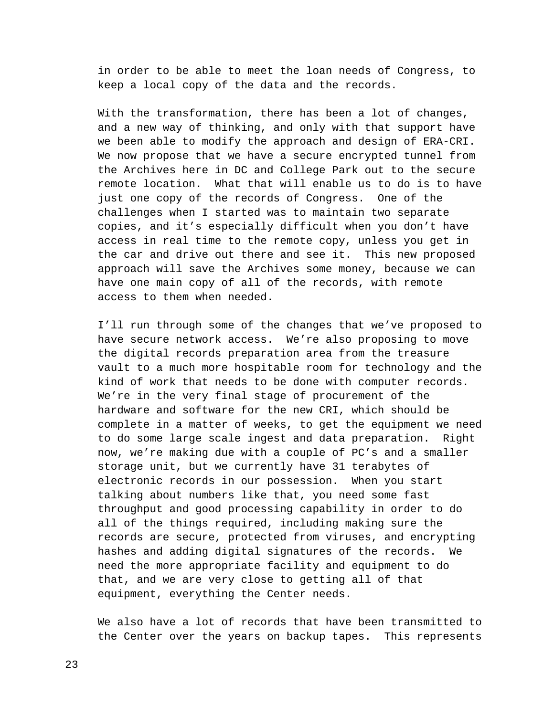in order to be able to meet the loan needs of Congress, to keep a local copy of the data and the records.

With the transformation, there has been a lot of changes, and a new way of thinking, and only with that support have we been able to modify the approach and design of ERA-CRI. We now propose that we have a secure encrypted tunnel from the Archives here in DC and College Park out to the secure remote location. What that will enable us to do is to have just one copy of the records of Congress. One of the challenges when I started was to maintain two separate copies, and it's especially difficult when you don't have access in real time to the remote copy, unless you get in the car and drive out there and see it. This new proposed approach will save the Archives some money, because we can have one main copy of all of the records, with remote access to them when needed.

I'll run through some of the changes that we've proposed to have secure network access. We're also proposing to move the digital records preparation area from the treasure vault to a much more hospitable room for technology and the kind of work that needs to be done with computer records. We're in the very final stage of procurement of the hardware and software for the new CRI, which should be complete in a matter of weeks, to get the equipment we need to do some large scale ingest and data preparation. Right now, we're making due with a couple of PC's and a smaller storage unit, but we currently have 31 terabytes of electronic records in our possession. When you start talking about numbers like that, you need some fast throughput and good processing capability in order to do all of the things required, including making sure the records are secure, protected from viruses, and encrypting hashes and adding digital signatures of the records. We need the more appropriate facility and equipment to do that, and we are very close to getting all of that equipment, everything the Center needs.

We also have a lot of records that have been transmitted to the Center over the years on backup tapes. This represents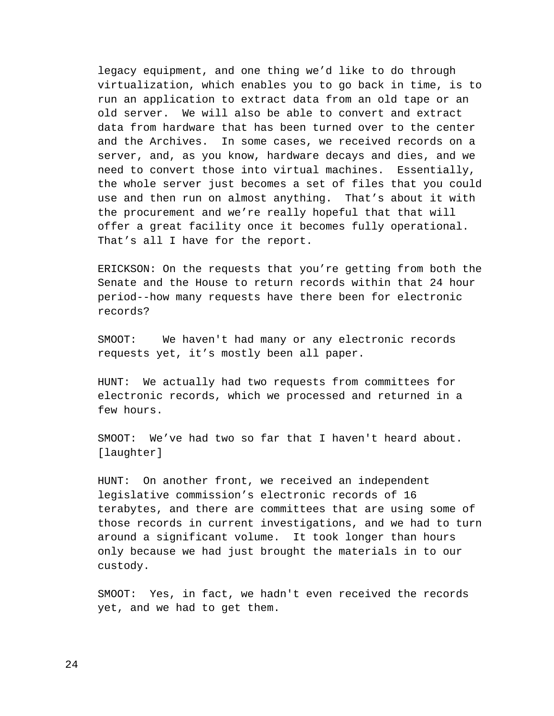legacy equipment, and one thing we'd like to do through virtualization, which enables you to go back in time, is to run an application to extract data from an old tape or an old server. We will also be able to convert and extract data from hardware that has been turned over to the center and the Archives. In some cases, we received records on a server, and, as you know, hardware decays and dies, and we need to convert those into virtual machines. Essentially, the whole server just becomes a set of files that you could use and then run on almost anything. That's about it with the procurement and we're really hopeful that that will offer a great facility once it becomes fully operational. That's all I have for the report.

ERICKSON: On the requests that you're getting from both the Senate and the House to return records within that 24 hour period--how many requests have there been for electronic records?

SMOOT: We haven't had many or any electronic records requests yet, it's mostly been all paper.

HUNT: We actually had two requests from committees for electronic records, which we processed and returned in a few hours.

SMOOT: We've had two so far that I haven't heard about. [laughter]

HUNT: On another front, we received an independent legislative commission's electronic records of 16 terabytes, and there are committees that are using some of those records in current investigations, and we had to turn around a significant volume. It took longer than hours only because we had just brought the materials in to our custody.

SMOOT: Yes, in fact, we hadn't even received the records yet, and we had to get them.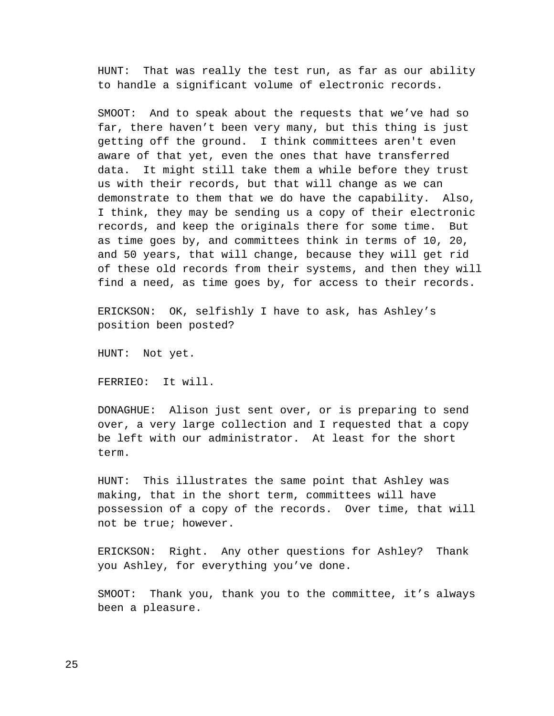HUNT: That was really the test run, as far as our ability to handle a significant volume of electronic records.

SMOOT: And to speak about the requests that we've had so far, there haven't been very many, but this thing is just getting off the ground. I think committees aren't even aware of that yet, even the ones that have transferred data. It might still take them a while before they trust us with their records, but that will change as we can demonstrate to them that we do have the capability. Also, I think, they may be sending us a copy of their electronic records, and keep the originals there for some time. But as time goes by, and committees think in terms of 10, 20, and 50 years, that will change, because they will get rid of these old records from their systems, and then they will find a need, as time goes by, for access to their records.

ERICKSON: OK, selfishly I have to ask, has Ashley's position been posted?

HUNT: Not yet.

FERRIEO: It will.

DONAGHUE: Alison just sent over, or is preparing to send over, a very large collection and I requested that a copy be left with our administrator. At least for the short term.

HUNT: This illustrates the same point that Ashley was making, that in the short term, committees will have possession of a copy of the records. Over time, that will not be true; however.

ERICKSON: Right. Any other questions for Ashley? Thank you Ashley, for everything you've done.

SMOOT: Thank you, thank you to the committee, it's always been a pleasure.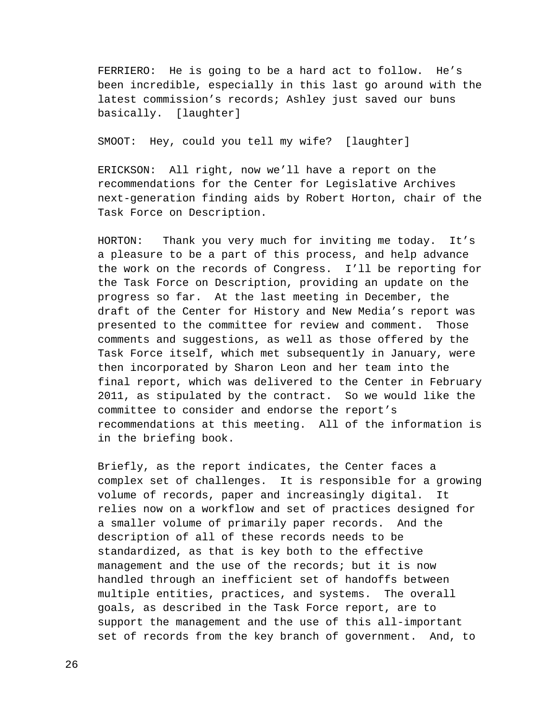FERRIERO: He is going to be a hard act to follow. He's been incredible, especially in this last go around with the latest commission's records; Ashley just saved our buns basically. [laughter]

SMOOT: Hey, could you tell my wife? [laughter]

ERICKSON: All right, now we'll have a report on the recommendations for the Center for Legislative Archives next-generation finding aids by Robert Horton, chair of the Task Force on Description.

HORTON: Thank you very much for inviting me today. It's a pleasure to be a part of this process, and help advance the work on the records of Congress. I'll be reporting for the Task Force on Description, providing an update on the progress so far. At the last meeting in December, the draft of the Center for History and New Media's report was presented to the committee for review and comment. Those comments and suggestions, as well as those offered by the Task Force itself, which met subsequently in January, were then incorporated by Sharon Leon and her team into the final report, which was delivered to the Center in February 2011, as stipulated by the contract. So we would like the committee to consider and endorse the report's recommendations at this meeting. All of the information is in the briefing book.

Briefly, as the report indicates, the Center faces a complex set of challenges. It is responsible for a growing volume of records, paper and increasingly digital. It relies now on a workflow and set of practices designed for a smaller volume of primarily paper records. And the description of all of these records needs to be standardized, as that is key both to the effective management and the use of the records; but it is now handled through an inefficient set of handoffs between multiple entities, practices, and systems. The overall goals, as described in the Task Force report, are to support the management and the use of this all-important set of records from the key branch of government. And, to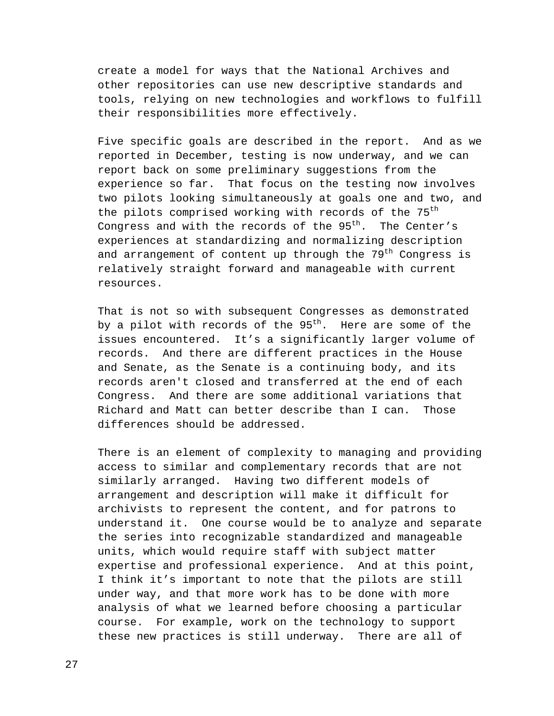create a model for ways that the National Archives and other repositories can use new descriptive standards and tools, relying on new technologies and workflows to fulfill their responsibilities more effectively.

Five specific goals are described in the report. And as we reported in December, testing is now underway, and we can report back on some preliminary suggestions from the experience so far. That focus on the testing now involves two pilots looking simultaneously at goals one and two, and the pilots comprised working with records of the 75<sup>th</sup> Congress and with the records of the  $95<sup>th</sup>$ . The Center's experiences at standardizing and normalizing description and arrangement of content up through the  $79<sup>th</sup>$  Congress is relatively straight forward and manageable with current resources.

That is not so with subsequent Congresses as demonstrated by a pilot with records of the  $95<sup>th</sup>$ . Here are some of the issues encountered. It's a significantly larger volume of records. And there are different practices in the House and Senate, as the Senate is a continuing body, and its records aren't closed and transferred at the end of each Congress. And there are some additional variations that Richard and Matt can better describe than I can. Those differences should be addressed.

There is an element of complexity to managing and providing access to similar and complementary records that are not similarly arranged. Having two different models of arrangement and description will make it difficult for archivists to represent the content, and for patrons to understand it. One course would be to analyze and separate the series into recognizable standardized and manageable units, which would require staff with subject matter expertise and professional experience. And at this point, I think it's important to note that the pilots are still under way, and that more work has to be done with more analysis of what we learned before choosing a particular course. For example, work on the technology to support these new practices is still underway. There are all of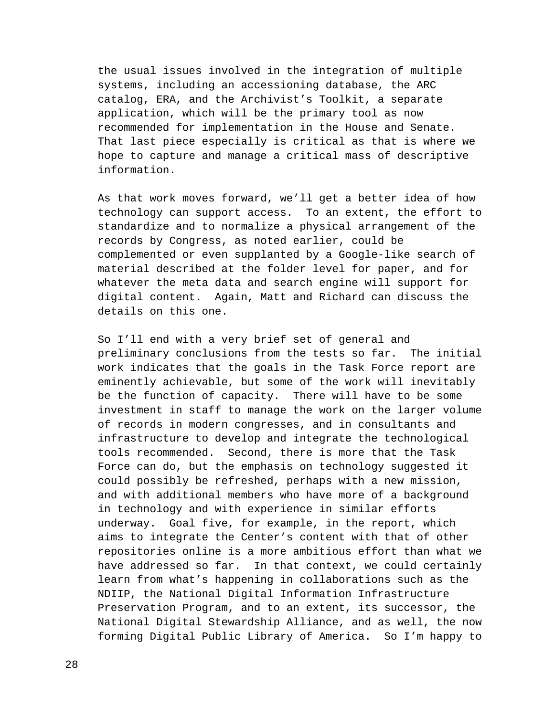the usual issues involved in the integration of multiple systems, including an accessioning database, the ARC catalog, ERA, and the Archivist's Toolkit, a separate application, which will be the primary tool as now recommended for implementation in the House and Senate. That last piece especially is critical as that is where we hope to capture and manage a critical mass of descriptive information.

As that work moves forward, we'll get a better idea of how technology can support access. To an extent, the effort to standardize and to normalize a physical arrangement of the records by Congress, as noted earlier, could be complemented or even supplanted by a Google-like search of material described at the folder level for paper, and for whatever the meta data and search engine will support for digital content. Again, Matt and Richard can discuss the details on this one.

So I'll end with a very brief set of general and preliminary conclusions from the tests so far. The initial work indicates that the goals in the Task Force report are eminently achievable, but some of the work will inevitably be the function of capacity. There will have to be some investment in staff to manage the work on the larger volume of records in modern congresses, and in consultants and infrastructure to develop and integrate the technological tools recommended. Second, there is more that the Task Force can do, but the emphasis on technology suggested it could possibly be refreshed, perhaps with a new mission, and with additional members who have more of a background in technology and with experience in similar efforts underway. Goal five, for example, in the report, which aims to integrate the Center's content with that of other repositories online is a more ambitious effort than what we have addressed so far. In that context, we could certainly learn from what's happening in collaborations such as the NDIIP, the National Digital Information Infrastructure Preservation Program, and to an extent, its successor, the National Digital Stewardship Alliance, and as well, the now forming Digital Public Library of America. So I'm happy to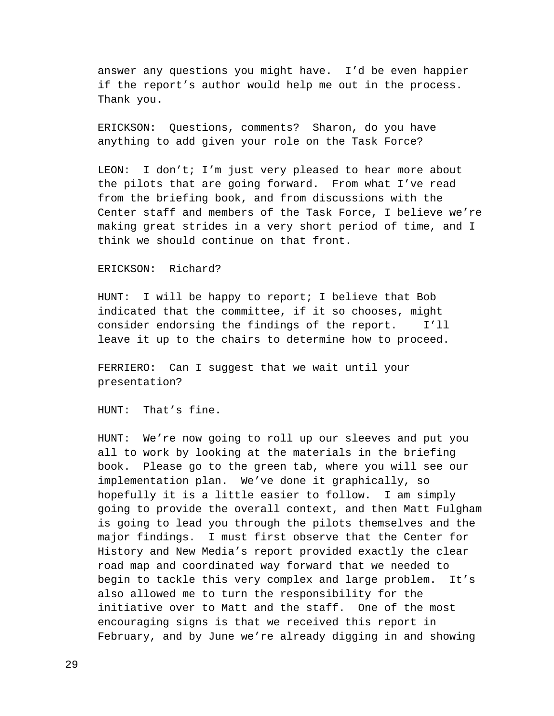answer any questions you might have. I'd be even happier if the report's author would help me out in the process. Thank you.

ERICKSON: Questions, comments? Sharon, do you have anything to add given your role on the Task Force?

LEON: I don't; I'm just very pleased to hear more about the pilots that are going forward. From what I've read from the briefing book, and from discussions with the Center staff and members of the Task Force, I believe we're making great strides in a very short period of time, and I think we should continue on that front.

## ERICKSON: Richard?

HUNT: I will be happy to report; I believe that Bob indicated that the committee, if it so chooses, might consider endorsing the findings of the report. I'll leave it up to the chairs to determine how to proceed.

FERRIERO: Can I suggest that we wait until your presentation?

HUNT: That's fine.

HUNT: We're now going to roll up our sleeves and put you all to work by looking at the materials in the briefing book. Please go to the green tab, where you will see our implementation plan. We've done it graphically, so hopefully it is a little easier to follow. I am simply going to provide the overall context, and then Matt Fulgham is going to lead you through the pilots themselves and the major findings. I must first observe that the Center for History and New Media's report provided exactly the clear road map and coordinated way forward that we needed to begin to tackle this very complex and large problem. It's also allowed me to turn the responsibility for the initiative over to Matt and the staff. One of the most encouraging signs is that we received this report in February, and by June we're already digging in and showing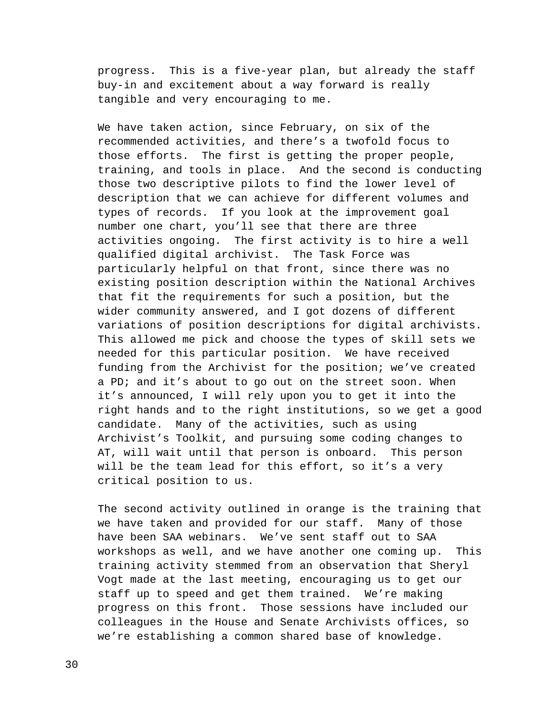progress. This is a five-year plan, but already the staff buy-in and excitement about a way forward is really tangible and very encouraging to me.

We have taken action, since February, on six of the recommended activities, and there's a twofold focus to those efforts. The first is getting the proper people, training, and tools in place. And the second is conducting those two descriptive pilots to find the lower level of description that we can achieve for different volumes and types of records. If you look at the improvement goal number one chart, you'll see that there are three activities ongoing. The first activity is to hire a well qualified digital archivist. The Task Force was particularly helpful on that front, since there was no existing position description within the National Archives that fit the requirements for such a position, but the wider community answered, and I got dozens of different variations of position descriptions for digital archivists. This allowed me pick and choose the types of skill sets we needed for this particular position. We have received funding from the Archivist for the position; we've created a PD; and it's about to go out on the street soon. When it's announced, I will rely upon you to get it into the right hands and to the right institutions, so we get a good candidate. Many of the activities, such as using Archivist's Toolkit, and pursuing some coding changes to AT, will wait until that person is onboard. This person will be the team lead for this effort, so it's a very critical position to us.

The second activity outlined in orange is the training that we have taken and provided for our staff. Many of those have been SAA webinars. We've sent staff out to SAA workshops as well, and we have another one coming up. This training activity stemmed from an observation that Sheryl Vogt made at the last meeting, encouraging us to get our staff up to speed and get them trained. We're making progress on this front. Those sessions have included our colleagues in the House and Senate Archivists offices, so we're establishing a common shared base of knowledge.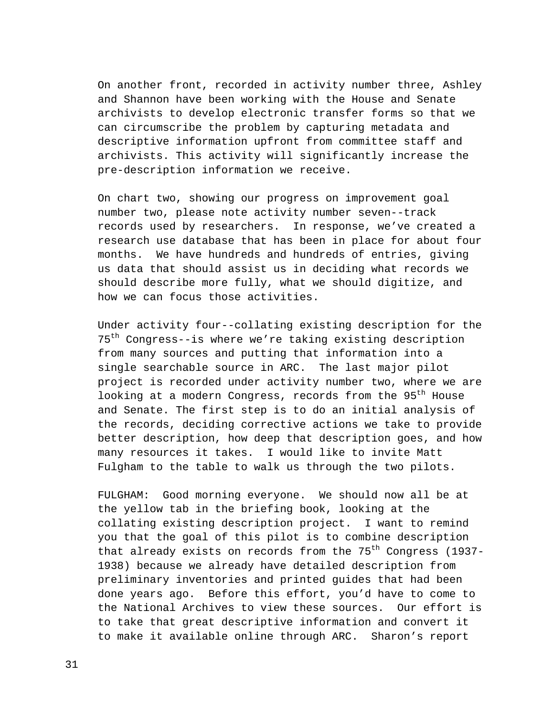On another front, recorded in activity number three, Ashley and Shannon have been working with the House and Senate archivists to develop electronic transfer forms so that we can circumscribe the problem by capturing metadata and descriptive information upfront from committee staff and archivists. This activity will significantly increase the pre-description information we receive.

On chart two, showing our progress on improvement goal number two, please note activity number seven--track records used by researchers. In response, we've created a research use database that has been in place for about four months. We have hundreds and hundreds of entries, giving us data that should assist us in deciding what records we should describe more fully, what we should digitize, and how we can focus those activities.

Under activity four--collating existing description for the 75th Congress--is where we're taking existing description from many sources and putting that information into a single searchable source in ARC. The last major pilot project is recorded under activity number two, where we are looking at a modern Congress, records from the 95<sup>th</sup> House and Senate. The first step is to do an initial analysis of the records, deciding corrective actions we take to provide better description, how deep that description goes, and how many resources it takes. I would like to invite Matt Fulgham to the table to walk us through the two pilots.

FULGHAM: Good morning everyone. We should now all be at the yellow tab in the briefing book, looking at the collating existing description project. I want to remind you that the goal of this pilot is to combine description that already exists on records from the  $75<sup>th</sup>$  Congress (1937-1938) because we already have detailed description from preliminary inventories and printed guides that had been done years ago. Before this effort, you'd have to come to the National Archives to view these sources. Our effort is to take that great descriptive information and convert it to make it available online through ARC. Sharon's report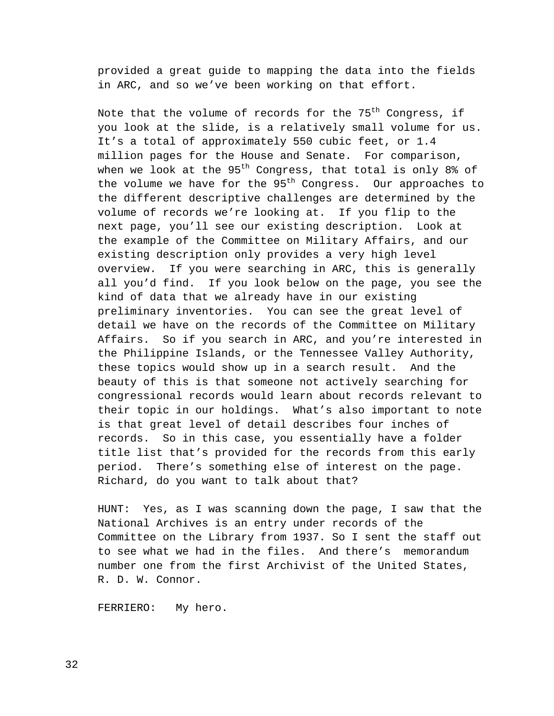provided a great guide to mapping the data into the fields in ARC, and so we've been working on that effort.

Note that the volume of records for the  $75<sup>th</sup>$  Congress, if you look at the slide, is a relatively small volume for us. It's a total of approximately 550 cubic feet, or 1.4 million pages for the House and Senate. For comparison, when we look at the  $95<sup>th</sup>$  Congress, that total is only 8% of the volume we have for the  $95<sup>th</sup>$  Congress. Our approaches to the different descriptive challenges are determined by the volume of records we're looking at. If you flip to the next page, you'll see our existing description. Look at the example of the Committee on Military Affairs, and our existing description only provides a very high level overview. If you were searching in ARC, this is generally all you'd find. If you look below on the page, you see the kind of data that we already have in our existing preliminary inventories. You can see the great level of detail we have on the records of the Committee on Military Affairs. So if you search in ARC, and you're interested in the Philippine Islands, or the Tennessee Valley Authority, these topics would show up in a search result. And the beauty of this is that someone not actively searching for congressional records would learn about records relevant to their topic in our holdings. What's also important to note is that great level of detail describes four inches of records. So in this case, you essentially have a folder title list that's provided for the records from this early period. There's something else of interest on the page. Richard, do you want to talk about that?

HUNT: Yes, as I was scanning down the page, I saw that the National Archives is an entry under records of the Committee on the Library from 1937. So I sent the staff out to see what we had in the files. And there's memorandum number one from the first Archivist of the United States, R. D. W. Connor.

FERRIERO: My hero.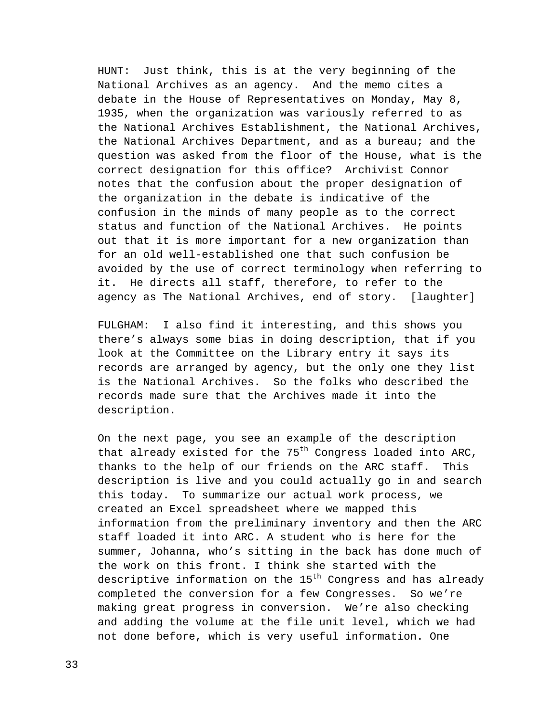HUNT: Just think, this is at the very beginning of the National Archives as an agency. And the memo cites a debate in the House of Representatives on Monday, May 8, 1935, when the organization was variously referred to as the National Archives Establishment, the National Archives, the National Archives Department, and as a bureau; and the question was asked from the floor of the House, what is the correct designation for this office? Archivist Connor notes that the confusion about the proper designation of the organization in the debate is indicative of the confusion in the minds of many people as to the correct status and function of the National Archives. He points out that it is more important for a new organization than for an old well-established one that such confusion be avoided by the use of correct terminology when referring to it. He directs all staff, therefore, to refer to the agency as The National Archives, end of story. [laughter]

FULGHAM: I also find it interesting, and this shows you there's always some bias in doing description, that if you look at the Committee on the Library entry it says its records are arranged by agency, but the only one they list is the National Archives. So the folks who described the records made sure that the Archives made it into the description.

On the next page, you see an example of the description that already existed for the  $75<sup>th</sup>$  Congress loaded into ARC, thanks to the help of our friends on the ARC staff. This description is live and you could actually go in and search this today. To summarize our actual work process, we created an Excel spreadsheet where we mapped this information from the preliminary inventory and then the ARC staff loaded it into ARC. A student who is here for the summer, Johanna, who's sitting in the back has done much of the work on this front. I think she started with the descriptive information on the  $15<sup>th</sup>$  Congress and has already completed the conversion for a few Congresses. So we're making great progress in conversion. We're also checking and adding the volume at the file unit level, which we had not done before, which is very useful information. One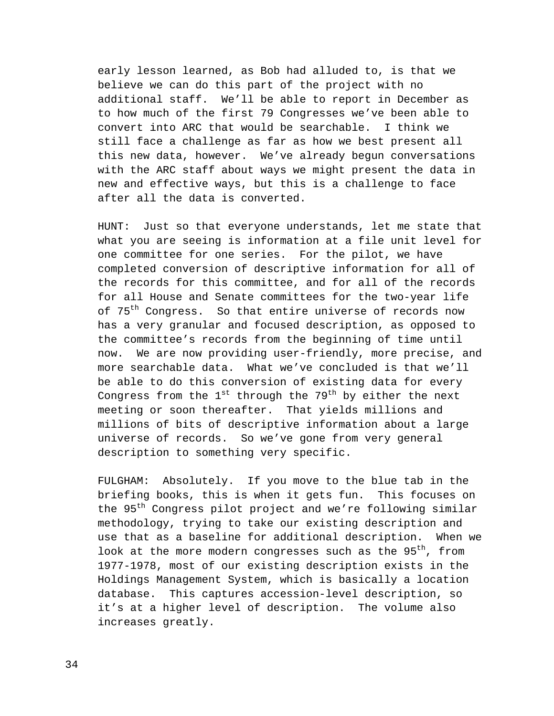early lesson learned, as Bob had alluded to, is that we believe we can do this part of the project with no additional staff. We'll be able to report in December as to how much of the first 79 Congresses we've been able to convert into ARC that would be searchable. I think we still face a challenge as far as how we best present all this new data, however. We've already begun conversations with the ARC staff about ways we might present the data in new and effective ways, but this is a challenge to face after all the data is converted.

HUNT: Just so that everyone understands, let me state that what you are seeing is information at a file unit level for one committee for one series. For the pilot, we have completed conversion of descriptive information for all of the records for this committee, and for all of the records for all House and Senate committees for the two-year life of 75<sup>th</sup> Congress. So that entire universe of records now has a very granular and focused description, as opposed to the committee's records from the beginning of time until now. We are now providing user-friendly, more precise, and more searchable data. What we've concluded is that we'll be able to do this conversion of existing data for every Congress from the  $1^{st}$  through the  $79^{th}$  by either the next meeting or soon thereafter. That yields millions and millions of bits of descriptive information about a large universe of records. So we've gone from very general description to something very specific.

FULGHAM: Absolutely. If you move to the blue tab in the briefing books, this is when it gets fun. This focuses on the 95<sup>th</sup> Congress pilot project and we're following similar methodology, trying to take our existing description and use that as a baseline for additional description. When we look at the more modern congresses such as the 95<sup>th</sup>, from 1977-1978, most of our existing description exists in the Holdings Management System, which is basically a location database. This captures accession-level description, so it's at a higher level of description. The volume also increases greatly.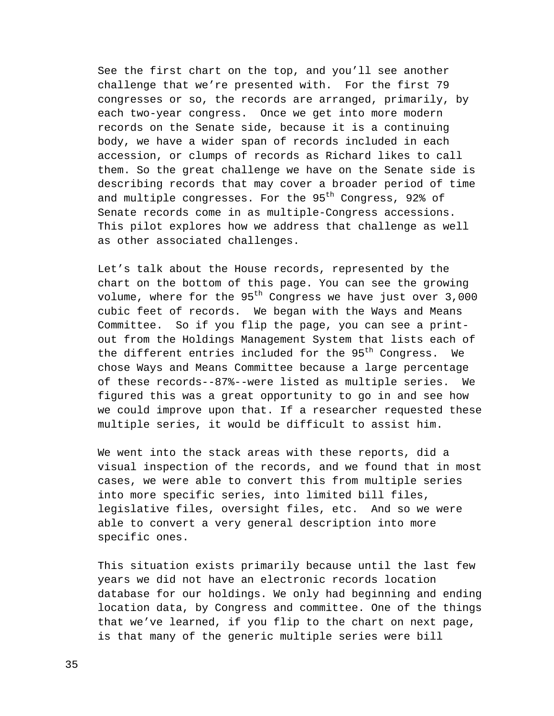See the first chart on the top, and you'll see another challenge that we're presented with. For the first 79 congresses or so, the records are arranged, primarily, by each two-year congress. Once we get into more modern records on the Senate side, because it is a continuing body, we have a wider span of records included in each accession, or clumps of records as Richard likes to call them. So the great challenge we have on the Senate side is describing records that may cover a broader period of time and multiple congresses. For the 95<sup>th</sup> Congress, 92% of Senate records come in as multiple-Congress accessions. This pilot explores how we address that challenge as well as other associated challenges.

Let's talk about the House records, represented by the chart on the bottom of this page. You can see the growing volume, where for the  $95<sup>th</sup>$  Congress we have just over  $3,000$ cubic feet of records. We began with the Ways and Means Committee. So if you flip the page, you can see a printout from the Holdings Management System that lists each of the different entries included for the 95<sup>th</sup> Congress. We chose Ways and Means Committee because a large percentage of these records--87%--were listed as multiple series. We figured this was a great opportunity to go in and see how we could improve upon that. If a researcher requested these multiple series, it would be difficult to assist him.

We went into the stack areas with these reports, did a visual inspection of the records, and we found that in most cases, we were able to convert this from multiple series into more specific series, into limited bill files, legislative files, oversight files, etc. And so we were able to convert a very general description into more specific ones.

This situation exists primarily because until the last few years we did not have an electronic records location database for our holdings. We only had beginning and ending location data, by Congress and committee. One of the things that we've learned, if you flip to the chart on next page, is that many of the generic multiple series were bill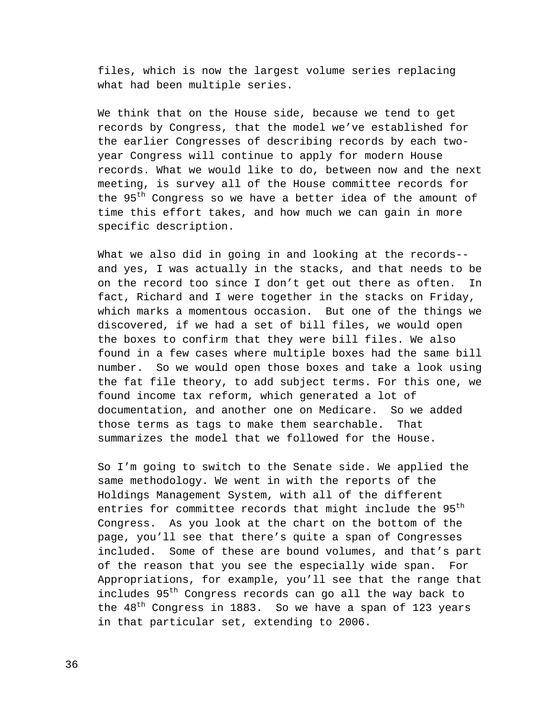files, which is now the largest volume series replacing what had been multiple series.

We think that on the House side, because we tend to get records by Congress, that the model we've established for the earlier Congresses of describing records by each twoyear Congress will continue to apply for modern House records. What we would like to do, between now and the next meeting, is survey all of the House committee records for the 95<sup>th</sup> Congress so we have a better idea of the amount of time this effort takes, and how much we can gain in more specific description.

What we also did in going in and looking at the records- and yes, I was actually in the stacks, and that needs to be on the record too since I don't get out there as often. In fact, Richard and I were together in the stacks on Friday, which marks a momentous occasion. But one of the things we discovered, if we had a set of bill files, we would open the boxes to confirm that they were bill files. We also found in a few cases where multiple boxes had the same bill number. So we would open those boxes and take a look using the fat file theory, to add subject terms. For this one, we found income tax reform, which generated a lot of documentation, and another one on Medicare. So we added those terms as tags to make them searchable. That summarizes the model that we followed for the House.

So I'm going to switch to the Senate side. We applied the same methodology. We went in with the reports of the Holdings Management System, with all of the different entries for committee records that might include the 95<sup>th</sup> Congress. As you look at the chart on the bottom of the page, you'll see that there's quite a span of Congresses included. Some of these are bound volumes, and that's part of the reason that you see the especially wide span. For Appropriations, for example, you'll see that the range that includes 95<sup>th</sup> Congress records can go all the way back to the  $48<sup>th</sup>$  Congress in 1883. So we have a span of 123 years in that particular set, extending to 2006.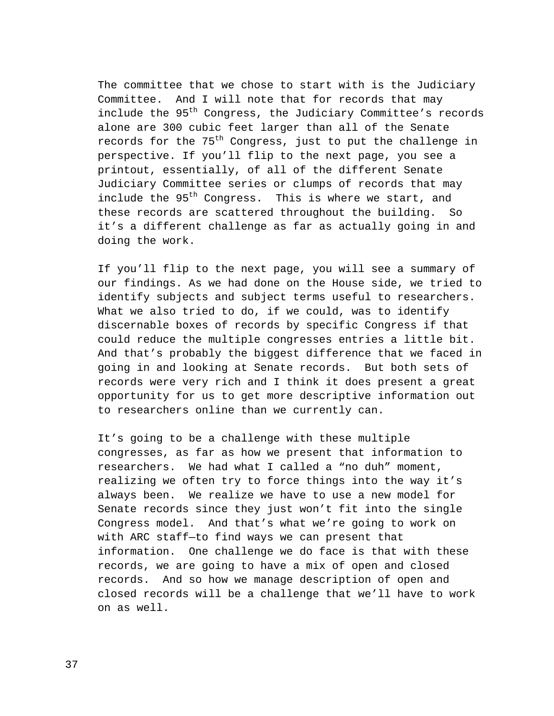The committee that we chose to start with is the Judiciary Committee. And I will note that for records that may include the 95<sup>th</sup> Congress, the Judiciary Committee's records alone are 300 cubic feet larger than all of the Senate records for the  $75<sup>th</sup>$  Congress, just to put the challenge in perspective. If you'll flip to the next page, you see a printout, essentially, of all of the different Senate Judiciary Committee series or clumps of records that may include the 95<sup>th</sup> Congress. This is where we start, and these records are scattered throughout the building. So it's a different challenge as far as actually going in and doing the work.

If you'll flip to the next page, you will see a summary of our findings. As we had done on the House side, we tried to identify subjects and subject terms useful to researchers. What we also tried to do, if we could, was to identify discernable boxes of records by specific Congress if that could reduce the multiple congresses entries a little bit. And that's probably the biggest difference that we faced in going in and looking at Senate records. But both sets of records were very rich and I think it does present a great opportunity for us to get more descriptive information out to researchers online than we currently can.

It's going to be a challenge with these multiple congresses, as far as how we present that information to researchers. We had what I called a "no duh" moment, realizing we often try to force things into the way it's always been. We realize we have to use a new model for Senate records since they just won't fit into the single Congress model. And that's what we're going to work on with ARC staff—to find ways we can present that information. One challenge we do face is that with these records, we are going to have a mix of open and closed records. And so how we manage description of open and closed records will be a challenge that we'll have to work on as well.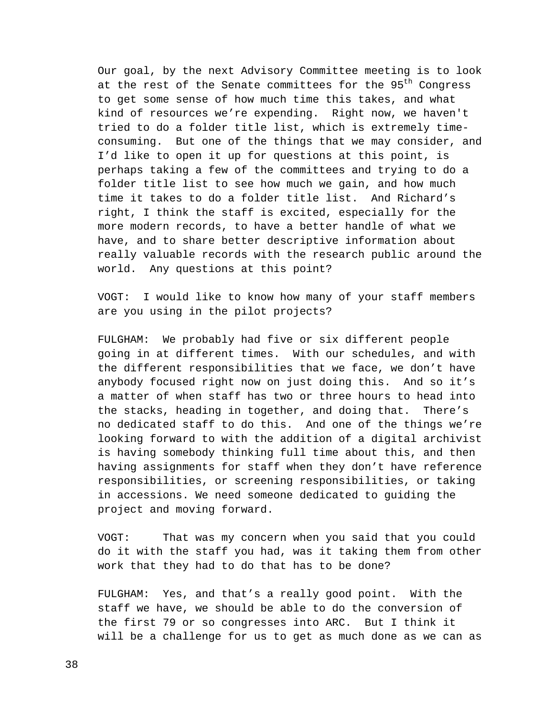Our goal, by the next Advisory Committee meeting is to look at the rest of the Senate committees for the 95<sup>th</sup> Congress to get some sense of how much time this takes, and what kind of resources we're expending. Right now, we haven't tried to do a folder title list, which is extremely timeconsuming. But one of the things that we may consider, and I'd like to open it up for questions at this point, is perhaps taking a few of the committees and trying to do a folder title list to see how much we gain, and how much time it takes to do a folder title list. And Richard's right, I think the staff is excited, especially for the more modern records, to have a better handle of what we have, and to share better descriptive information about really valuable records with the research public around the world. Any questions at this point?

VOGT: I would like to know how many of your staff members are you using in the pilot projects?

FULGHAM: We probably had five or six different people going in at different times. With our schedules, and with the different responsibilities that we face, we don't have anybody focused right now on just doing this. And so it's a matter of when staff has two or three hours to head into the stacks, heading in together, and doing that. There's no dedicated staff to do this. And one of the things we're looking forward to with the addition of a digital archivist is having somebody thinking full time about this, and then having assignments for staff when they don't have reference responsibilities, or screening responsibilities, or taking in accessions. We need someone dedicated to guiding the project and moving forward.

VOGT: That was my concern when you said that you could do it with the staff you had, was it taking them from other work that they had to do that has to be done?

FULGHAM: Yes, and that's a really good point. With the staff we have, we should be able to do the conversion of the first 79 or so congresses into ARC. But I think it will be a challenge for us to get as much done as we can as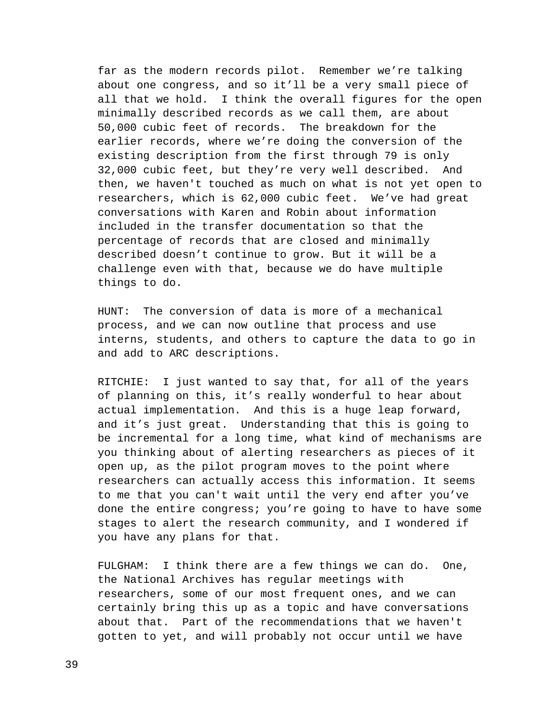far as the modern records pilot. Remember we're talking about one congress, and so it'll be a very small piece of all that we hold. I think the overall figures for the open minimally described records as we call them, are about 50,000 cubic feet of records. The breakdown for the earlier records, where we're doing the conversion of the existing description from the first through 79 is only 32,000 cubic feet, but they're very well described. And then, we haven't touched as much on what is not yet open to researchers, which is 62,000 cubic feet. We've had great conversations with Karen and Robin about information included in the transfer documentation so that the percentage of records that are closed and minimally described doesn't continue to grow. But it will be a challenge even with that, because we do have multiple things to do.

HUNT: The conversion of data is more of a mechanical process, and we can now outline that process and use interns, students, and others to capture the data to go in and add to ARC descriptions.

RITCHIE: I just wanted to say that, for all of the years of planning on this, it's really wonderful to hear about actual implementation. And this is a huge leap forward, and it's just great. Understanding that this is going to be incremental for a long time, what kind of mechanisms are you thinking about of alerting researchers as pieces of it open up, as the pilot program moves to the point where researchers can actually access this information. It seems to me that you can't wait until the very end after you've done the entire congress; you're going to have to have some stages to alert the research community, and I wondered if you have any plans for that.

FULGHAM: I think there are a few things we can do. One, the National Archives has regular meetings with researchers, some of our most frequent ones, and we can certainly bring this up as a topic and have conversations about that. Part of the recommendations that we haven't gotten to yet, and will probably not occur until we have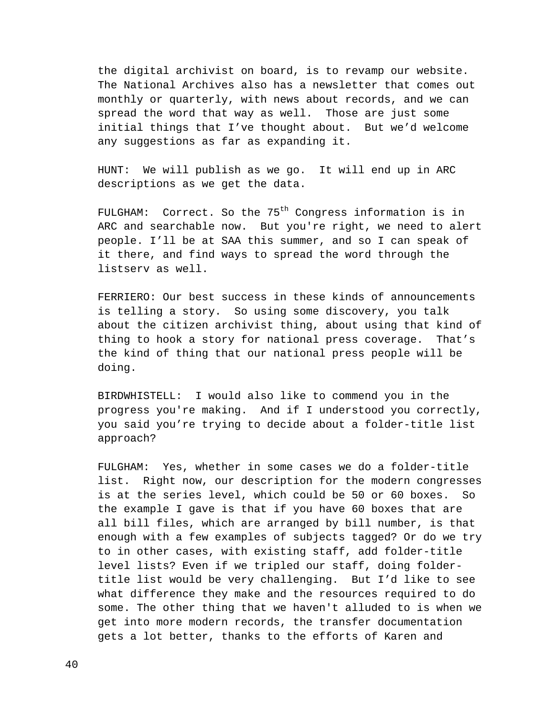the digital archivist on board, is to revamp our website. The National Archives also has a newsletter that comes out monthly or quarterly, with news about records, and we can spread the word that way as well. Those are just some initial things that I've thought about. But we'd welcome any suggestions as far as expanding it.

HUNT: We will publish as we go. It will end up in ARC descriptions as we get the data.

FULGHAM: Correct. So the  $75<sup>th</sup>$  Congress information is in ARC and searchable now. But you're right, we need to alert people. I'll be at SAA this summer, and so I can speak of it there, and find ways to spread the word through the listserv as well.

FERRIERO: Our best success in these kinds of announcements is telling a story. So using some discovery, you talk about the citizen archivist thing, about using that kind of thing to hook a story for national press coverage. That's the kind of thing that our national press people will be doing.

BIRDWHISTELL: I would also like to commend you in the progress you're making. And if I understood you correctly, you said you're trying to decide about a folder-title list approach?

FULGHAM: Yes, whether in some cases we do a folder-title list. Right now, our description for the modern congresses is at the series level, which could be 50 or 60 boxes. So the example I gave is that if you have 60 boxes that are all bill files, which are arranged by bill number, is that enough with a few examples of subjects tagged? Or do we try to in other cases, with existing staff, add folder-title level lists? Even if we tripled our staff, doing foldertitle list would be very challenging. But I'd like to see what difference they make and the resources required to do some. The other thing that we haven't alluded to is when we get into more modern records, the transfer documentation gets a lot better, thanks to the efforts of Karen and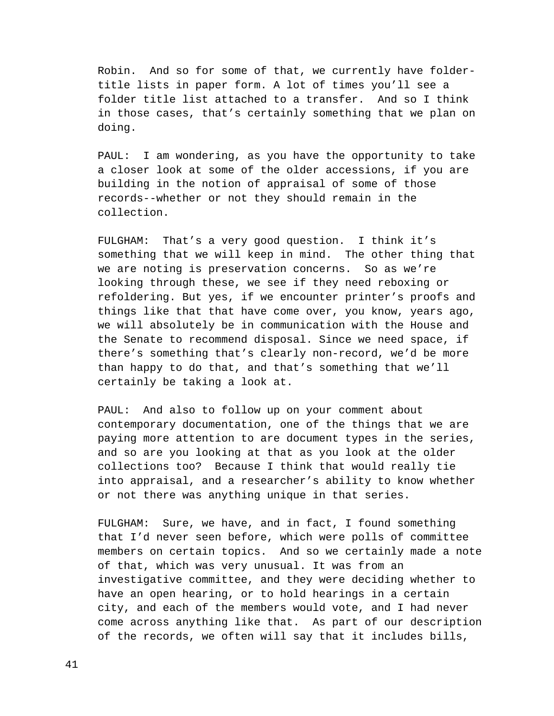Robin. And so for some of that, we currently have foldertitle lists in paper form. A lot of times you'll see a folder title list attached to a transfer. And so I think in those cases, that's certainly something that we plan on doing.

PAUL: I am wondering, as you have the opportunity to take a closer look at some of the older accessions, if you are building in the notion of appraisal of some of those records--whether or not they should remain in the collection.

FULGHAM: That's a very good question. I think it's something that we will keep in mind. The other thing that we are noting is preservation concerns. So as we're looking through these, we see if they need reboxing or refoldering. But yes, if we encounter printer's proofs and things like that that have come over, you know, years ago, we will absolutely be in communication with the House and the Senate to recommend disposal. Since we need space, if there's something that's clearly non-record, we'd be more than happy to do that, and that's something that we'll certainly be taking a look at.

PAUL: And also to follow up on your comment about contemporary documentation, one of the things that we are paying more attention to are document types in the series, and so are you looking at that as you look at the older collections too? Because I think that would really tie into appraisal, and a researcher's ability to know whether or not there was anything unique in that series.

FULGHAM: Sure, we have, and in fact, I found something that I'd never seen before, which were polls of committee members on certain topics. And so we certainly made a note of that, which was very unusual. It was from an investigative committee, and they were deciding whether to have an open hearing, or to hold hearings in a certain city, and each of the members would vote, and I had never come across anything like that. As part of our description of the records, we often will say that it includes bills,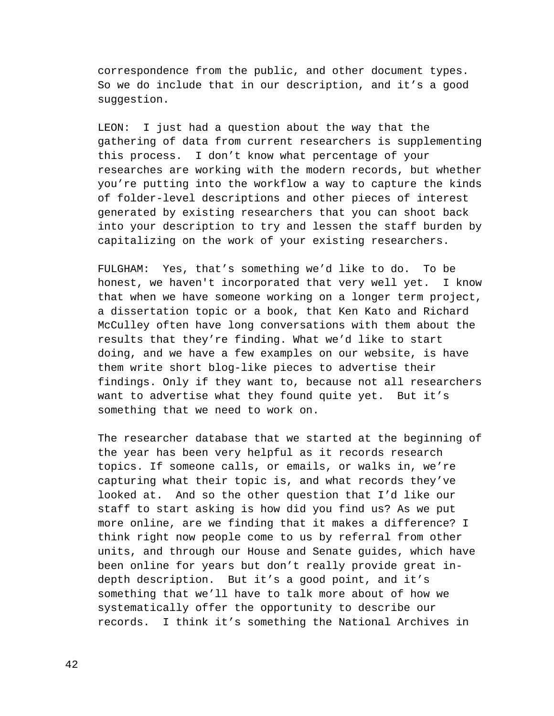correspondence from the public, and other document types. So we do include that in our description, and it's a good suggestion.

LEON: I just had a question about the way that the gathering of data from current researchers is supplementing this process. I don't know what percentage of your researches are working with the modern records, but whether you're putting into the workflow a way to capture the kinds of folder-level descriptions and other pieces of interest generated by existing researchers that you can shoot back into your description to try and lessen the staff burden by capitalizing on the work of your existing researchers.

FULGHAM: Yes, that's something we'd like to do. To be honest, we haven't incorporated that very well yet. I know that when we have someone working on a longer term project, a dissertation topic or a book, that Ken Kato and Richard McCulley often have long conversations with them about the results that they're finding. What we'd like to start doing, and we have a few examples on our website, is have them write short blog-like pieces to advertise their findings. Only if they want to, because not all researchers want to advertise what they found quite yet. But it's something that we need to work on.

The researcher database that we started at the beginning of the year has been very helpful as it records research topics. If someone calls, or emails, or walks in, we're capturing what their topic is, and what records they've looked at. And so the other question that I'd like our staff to start asking is how did you find us? As we put more online, are we finding that it makes a difference? I think right now people come to us by referral from other units, and through our House and Senate guides, which have been online for years but don't really provide great indepth description. But it's a good point, and it's something that we'll have to talk more about of how we systematically offer the opportunity to describe our records. I think it's something the National Archives in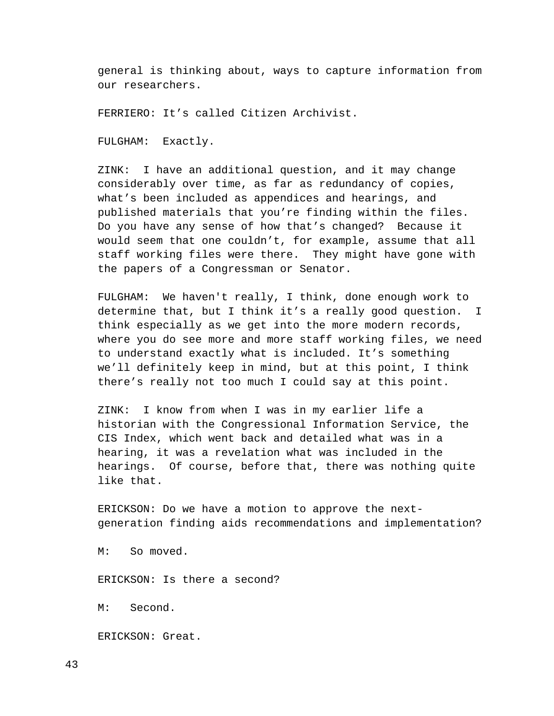general is thinking about, ways to capture information from our researchers.

FERRIERO: It's called Citizen Archivist.

FULGHAM: Exactly.

ZINK: I have an additional question, and it may change considerably over time, as far as redundancy of copies, what's been included as appendices and hearings, and published materials that you're finding within the files. Do you have any sense of how that's changed? Because it would seem that one couldn't, for example, assume that all staff working files were there. They might have gone with the papers of a Congressman or Senator.

FULGHAM: We haven't really, I think, done enough work to determine that, but I think it's a really good question. I think especially as we get into the more modern records, where you do see more and more staff working files, we need to understand exactly what is included. It's something we'll definitely keep in mind, but at this point, I think there's really not too much I could say at this point.

ZINK: I know from when I was in my earlier life a historian with the Congressional Information Service, the CIS Index, which went back and detailed what was in a hearing, it was a revelation what was included in the hearings. Of course, before that, there was nothing quite like that.

ERICKSON: Do we have a motion to approve the nextgeneration finding aids recommendations and implementation?

M: So moved.

ERICKSON: Is there a second?

M: Second.

ERICKSON: Great.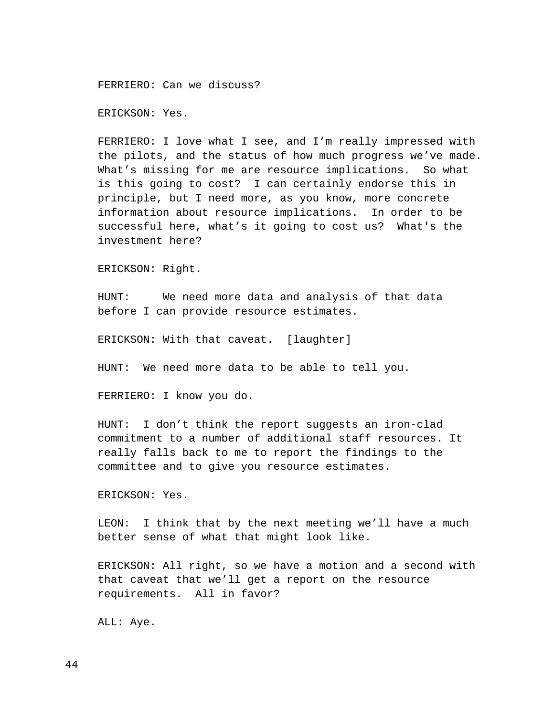FERRIERO: Can we discuss?

ERICKSON: Yes.

FERRIERO: I love what I see, and I'm really impressed with the pilots, and the status of how much progress we've made. What's missing for me are resource implications. So what is this going to cost? I can certainly endorse this in principle, but I need more, as you know, more concrete information about resource implications. In order to be successful here, what's it going to cost us? What's the investment here?

ERICKSON: Right.

HUNT: We need more data and analysis of that data before I can provide resource estimates.

ERICKSON: With that caveat. [laughter]

HUNT: We need more data to be able to tell you.

FERRIERO: I know you do.

HUNT: I don't think the report suggests an iron-clad commitment to a number of additional staff resources. It really falls back to me to report the findings to the committee and to give you resource estimates.

ERICKSON: Yes.

LEON: I think that by the next meeting we'll have a much better sense of what that might look like.

ERICKSON: All right, so we have a motion and a second with that caveat that we'll get a report on the resource requirements. All in favor?

ALL: Aye.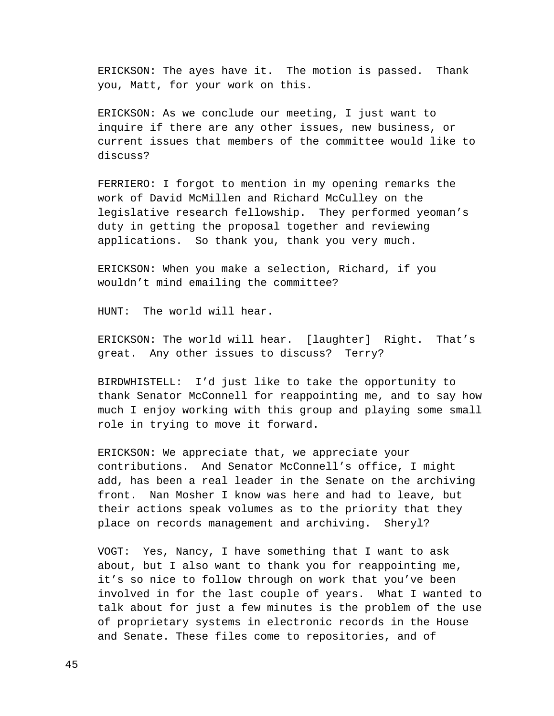ERICKSON: The ayes have it. The motion is passed. Thank you, Matt, for your work on this.

ERICKSON: As we conclude our meeting, I just want to inquire if there are any other issues, new business, or current issues that members of the committee would like to discuss?

FERRIERO: I forgot to mention in my opening remarks the work of David McMillen and Richard McCulley on the legislative research fellowship. They performed yeoman's duty in getting the proposal together and reviewing applications. So thank you, thank you very much.

ERICKSON: When you make a selection, Richard, if you wouldn't mind emailing the committee?

HUNT: The world will hear.

ERICKSON: The world will hear. [laughter] Right. That's great. Any other issues to discuss? Terry?

BIRDWHISTELL: I'd just like to take the opportunity to thank Senator McConnell for reappointing me, and to say how much I enjoy working with this group and playing some small role in trying to move it forward.

ERICKSON: We appreciate that, we appreciate your contributions. And Senator McConnell's office, I might add, has been a real leader in the Senate on the archiving front. Nan Mosher I know was here and had to leave, but their actions speak volumes as to the priority that they place on records management and archiving. Sheryl?

VOGT: Yes, Nancy, I have something that I want to ask about, but I also want to thank you for reappointing me, it's so nice to follow through on work that you've been involved in for the last couple of years. What I wanted to talk about for just a few minutes is the problem of the use of proprietary systems in electronic records in the House and Senate. These files come to repositories, and of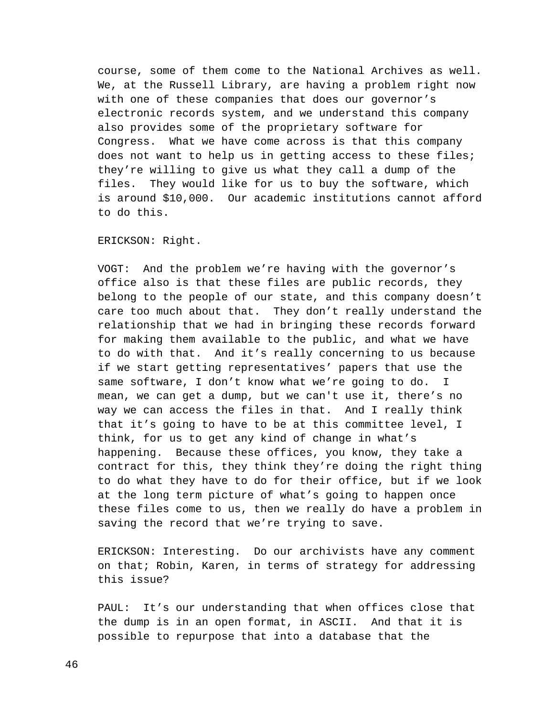course, some of them come to the National Archives as well. We, at the Russell Library, are having a problem right now with one of these companies that does our governor's electronic records system, and we understand this company also provides some of the proprietary software for Congress. What we have come across is that this company does not want to help us in getting access to these files; they're willing to give us what they call a dump of the files. They would like for us to buy the software, which is around \$10,000. Our academic institutions cannot afford to do this.

ERICKSON: Right.

VOGT: And the problem we're having with the governor's office also is that these files are public records, they belong to the people of our state, and this company doesn't care too much about that. They don't really understand the relationship that we had in bringing these records forward for making them available to the public, and what we have to do with that. And it's really concerning to us because if we start getting representatives' papers that use the same software, I don't know what we're going to do. I mean, we can get a dump, but we can't use it, there's no way we can access the files in that. And I really think that it's going to have to be at this committee level, I think, for us to get any kind of change in what's happening. Because these offices, you know, they take a contract for this, they think they're doing the right thing to do what they have to do for their office, but if we look at the long term picture of what's going to happen once these files come to us, then we really do have a problem in saving the record that we're trying to save.

ERICKSON: Interesting. Do our archivists have any comment on that; Robin, Karen, in terms of strategy for addressing this issue?

PAUL: It's our understanding that when offices close that the dump is in an open format, in ASCII. And that it is possible to repurpose that into a database that the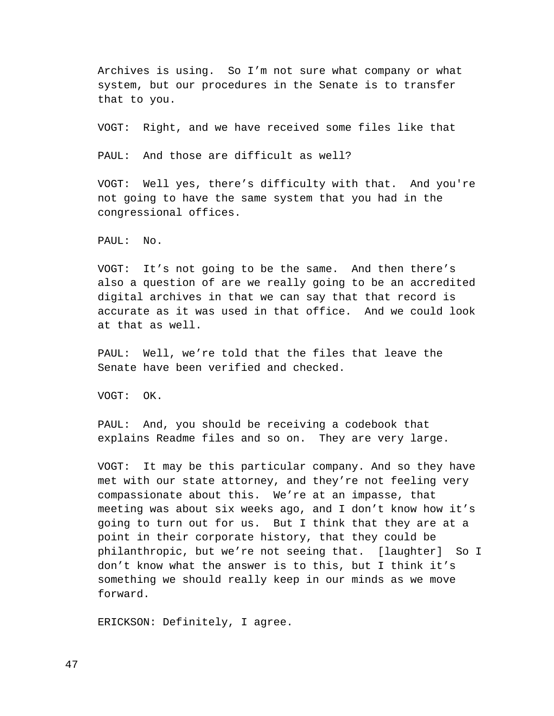Archives is using. So I'm not sure what company or what system, but our procedures in the Senate is to transfer that to you.

VOGT: Right, and we have received some files like that

PAUL: And those are difficult as well?

VOGT: Well yes, there's difficulty with that. And you're not going to have the same system that you had in the congressional offices.

PAUL: No.

VOGT: It's not going to be the same. And then there's also a question of are we really going to be an accredited digital archives in that we can say that that record is accurate as it was used in that office. And we could look at that as well.

PAUL: Well, we're told that the files that leave the Senate have been verified and checked.

VOGT: OK.

PAUL: And, you should be receiving a codebook that explains Readme files and so on. They are very large.

VOGT: It may be this particular company. And so they have met with our state attorney, and they're not feeling very compassionate about this. We're at an impasse, that meeting was about six weeks ago, and I don't know how it's going to turn out for us. But I think that they are at a point in their corporate history, that they could be philanthropic, but we're not seeing that. [laughter] So I don't know what the answer is to this, but I think it's something we should really keep in our minds as we move forward.

ERICKSON: Definitely, I agree.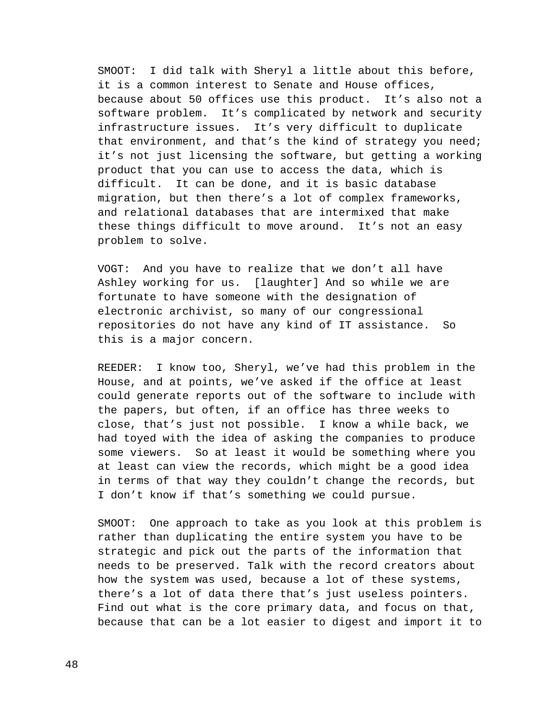SMOOT: I did talk with Sheryl a little about this before, it is a common interest to Senate and House offices, because about 50 offices use this product. It's also not a software problem. It's complicated by network and security infrastructure issues. It's very difficult to duplicate that environment, and that's the kind of strategy you need; it's not just licensing the software, but getting a working product that you can use to access the data, which is difficult. It can be done, and it is basic database migration, but then there's a lot of complex frameworks, and relational databases that are intermixed that make these things difficult to move around. It's not an easy problem to solve.

VOGT: And you have to realize that we don't all have Ashley working for us. [laughter] And so while we are fortunate to have someone with the designation of electronic archivist, so many of our congressional repositories do not have any kind of IT assistance. So this is a major concern.

REEDER: I know too, Sheryl, we've had this problem in the House, and at points, we've asked if the office at least could generate reports out of the software to include with the papers, but often, if an office has three weeks to close, that's just not possible. I know a while back, we had toyed with the idea of asking the companies to produce some viewers. So at least it would be something where you at least can view the records, which might be a good idea in terms of that way they couldn't change the records, but I don't know if that's something we could pursue.

SMOOT: One approach to take as you look at this problem is rather than duplicating the entire system you have to be strategic and pick out the parts of the information that needs to be preserved. Talk with the record creators about how the system was used, because a lot of these systems, there's a lot of data there that's just useless pointers. Find out what is the core primary data, and focus on that, because that can be a lot easier to digest and import it to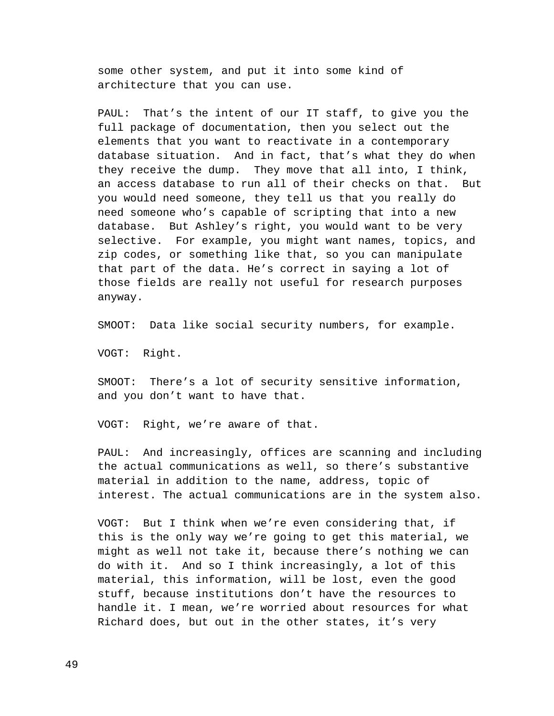some other system, and put it into some kind of architecture that you can use.

PAUL: That's the intent of our IT staff, to give you the full package of documentation, then you select out the elements that you want to reactivate in a contemporary database situation. And in fact, that's what they do when they receive the dump. They move that all into, I think, an access database to run all of their checks on that. But you would need someone, they tell us that you really do need someone who's capable of scripting that into a new database. But Ashley's right, you would want to be very selective. For example, you might want names, topics, and zip codes, or something like that, so you can manipulate that part of the data. He's correct in saying a lot of those fields are really not useful for research purposes anyway.

SMOOT: Data like social security numbers, for example.

VOGT: Right.

SMOOT: There's a lot of security sensitive information, and you don't want to have that.

VOGT: Right, we're aware of that.

PAUL: And increasingly, offices are scanning and including the actual communications as well, so there's substantive material in addition to the name, address, topic of interest. The actual communications are in the system also.

VOGT: But I think when we're even considering that, if this is the only way we're going to get this material, we might as well not take it, because there's nothing we can do with it. And so I think increasingly, a lot of this material, this information, will be lost, even the good stuff, because institutions don't have the resources to handle it. I mean, we're worried about resources for what Richard does, but out in the other states, it's very